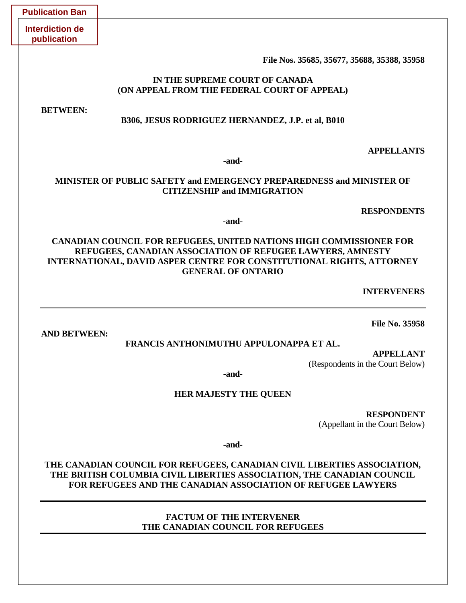| <b>Publication Ban</b>                                                                                                                                                                                                                         |  |
|------------------------------------------------------------------------------------------------------------------------------------------------------------------------------------------------------------------------------------------------|--|
| <b>Interdiction de</b><br>publication                                                                                                                                                                                                          |  |
| File Nos. 35685, 35677, 35688, 35388, 35958                                                                                                                                                                                                    |  |
| IN THE SUPREME COURT OF CANADA<br>(ON APPEAL FROM THE FEDERAL COURT OF APPEAL)                                                                                                                                                                 |  |
| <b>BETWEEN:</b><br>B306, JESUS RODRIGUEZ HERNANDEZ, J.P. et al, B010                                                                                                                                                                           |  |
| <b>APPELLANTS</b><br>-and-                                                                                                                                                                                                                     |  |
| MINISTER OF PUBLIC SAFETY and EMERGENCY PREPAREDNESS and MINISTER OF<br><b>CITIZENSHIP and IMMIGRATION</b>                                                                                                                                     |  |
| <b>RESPONDENTS</b><br>-and-                                                                                                                                                                                                                    |  |
| <b>CANADIAN COUNCIL FOR REFUGEES, UNITED NATIONS HIGH COMMISSIONER FOR</b><br>REFUGEES, CANADIAN ASSOCIATION OF REFUGEE LAWYERS, AMNESTY<br>INTERNATIONAL, DAVID ASPER CENTRE FOR CONSTITUTIONAL RIGHTS, ATTORNEY<br><b>GENERAL OF ONTARIO</b> |  |
| <b>INTERVENERS</b>                                                                                                                                                                                                                             |  |
| <b>File No. 35958</b>                                                                                                                                                                                                                          |  |
| <b>AND BETWEEN:</b><br>FRANCIS ANTHONIMUTHU APPULONAPPA ET AL.                                                                                                                                                                                 |  |
| <b>APPELLANT</b><br>(Respondents in the Court Below)                                                                                                                                                                                           |  |
| -and-                                                                                                                                                                                                                                          |  |
| <b>HER MAJESTY THE QUEEN</b>                                                                                                                                                                                                                   |  |
| <b>RESPONDENT</b><br>(Appellant in the Court Below)                                                                                                                                                                                            |  |
| -and-                                                                                                                                                                                                                                          |  |
| THE CANADIAN COUNCIL FOR REFUGEES, CANADIAN CIVIL LIBERTIES ASSOCIATION,<br>THE BRITISH COLUMBIA CIVIL LIBERTIES ASSOCIATION, THE CANADIAN COUNCIL<br><b>FOR REFUGEES AND THE CANADIAN ASSOCIATION OF REFUGEE LAWYERS</b>                      |  |
| <b>FACTUM OF THE INTERVENER</b><br>THE CANADIAN COUNCIL FOR REFUGEES                                                                                                                                                                           |  |

# and **MINISTER OF**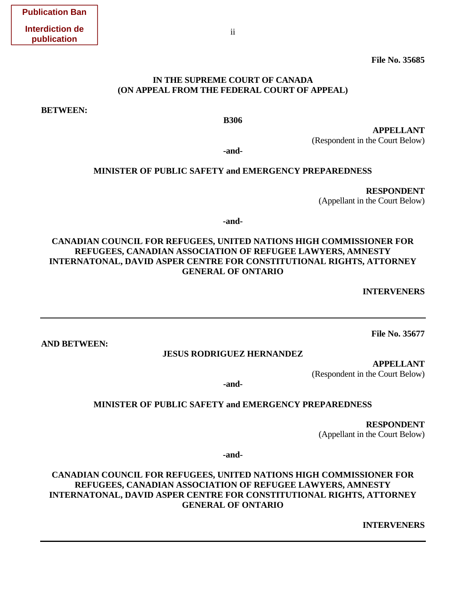**File No. 35685** 

## **IN THE SUPREME COURT OF CANADA (ON APPEAL FROM THE FEDERAL COURT OF APPEAL)**

**BETWEEN:** 

**AND BETWEEN:** 

**B306**

**APPELLANT**  (Respondent in the Court Below)

**-and-**

#### **MINISTER OF PUBLIC SAFETY and EMERGENCY PREPAREDNESS**

 **RESPONDENT**  (Appellant in the Court Below)

**-and-**

## **CANADIAN COUNCIL FOR REFUGEES, UNITED NATIONS HIGH COMMISSIONER FOR REFUGEES, CANADIAN ASSOCIATION OF REFUGEE LAWYERS, AMNESTY INTERNATONAL, DAVID ASPER CENTRE FOR CONSTITUTIONAL RIGHTS, ATTORNEY GENERAL OF ONTARIO**

 **INTERVENERS** 

**File No. 35677**

**JESUS RODRIGUEZ HERNANDEZ** 

**APPELLANT**  (Respondent in the Court Below)

**-and-**

#### **MINISTER OF PUBLIC SAFETY and EMERGENCY PREPAREDNESS**

 **RESPONDENT**  (Appellant in the Court Below)

**-and-**

**CANADIAN COUNCIL FOR REFUGEES, UNITED NATIONS HIGH COMMISSIONER FOR REFUGEES, CANADIAN ASSOCIATION OF REFUGEE LAWYERS, AMNESTY INTERNATONAL, DAVID ASPER CENTRE FOR CONSTITUTIONAL RIGHTS, ATTORNEY GENERAL OF ONTARIO** 

 **INTERVENERS**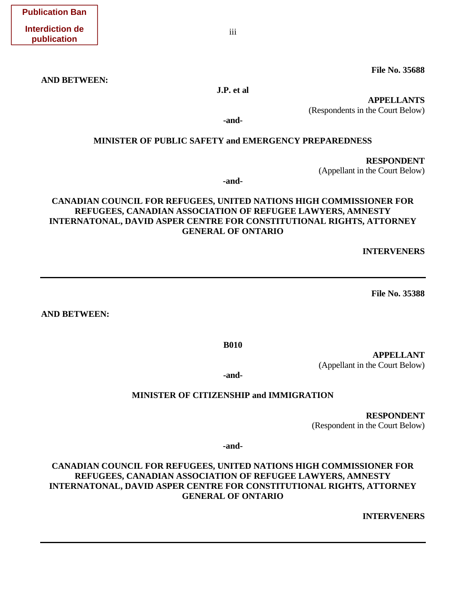iii

**File No. 35688** 

**AND BETWEEN:** 

**J.P. et al** 

**APPELLANTS** 

(Respondents in the Court Below)

**-and-**

## **MINISTER OF PUBLIC SAFETY and EMERGENCY PREPAREDNESS**

 **RESPONDENT**  (Appellant in the Court Below)

**-and-**

## **CANADIAN COUNCIL FOR REFUGEES, UNITED NATIONS HIGH COMMISSIONER FOR REFUGEES, CANADIAN ASSOCIATION OF REFUGEE LAWYERS, AMNESTY INTERNATONAL, DAVID ASPER CENTRE FOR CONSTITUTIONAL RIGHTS, ATTORNEY GENERAL OF ONTARIO**

**INTERVENERS** 

**File No. 35388** 

**AND BETWEEN:**

**B010**

**APPELLANT**  (Appellant in the Court Below)

**-and-**

## **MINISTER OF CITIZENSHIP and IMMIGRATION**

 **RESPONDENT**  (Respondent in the Court Below)

**-and-**

**CANADIAN COUNCIL FOR REFUGEES, UNITED NATIONS HIGH COMMISSIONER FOR REFUGEES, CANADIAN ASSOCIATION OF REFUGEE LAWYERS, AMNESTY INTERNATONAL, DAVID ASPER CENTRE FOR CONSTITUTIONAL RIGHTS, ATTORNEY GENERAL OF ONTARIO**

**INTERVENERS**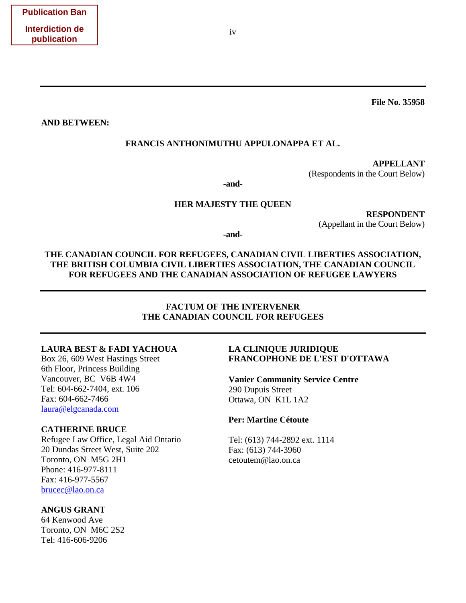**File No. 35958** 

**AND BETWEEN:**

#### **FRANCIS ANTHONIMUTHU APPULONAPPA ET AL.**

**APPELLANT**  (Respondents in the Court Below)

**-and-**

#### **HER MAJESTY THE QUEEN**

 **RESPONDENT**  (Appellant in the Court Below)

**-and-**

**THE CANADIAN COUNCIL FOR REFUGEES, CANADIAN CIVIL LIBERTIES ASSOCIATION, THE BRITISH COLUMBIA CIVIL LIBERTIES ASSOCIATION, THE CANADIAN COUNCIL FOR REFUGEES AND THE CANADIAN ASSOCIATION OF REFUGEE LAWYERS** 

## **FACTUM OF THE INTERVENER THE CANADIAN COUNCIL FOR REFUGEES**

#### **LAURA BEST & FADI YACHOUA**

Box 26, 609 West Hastings Street 6th Floor, Princess Building Vancouver, BC V6B 4W4 Tel: [604-662-7404, ext. 106](tel:1-604-662-7404%2C%20ext.%20106) Fax: [604-662-7466](tel:1-604-662-7466) [laura@elgcanada.com](mailto:laura@elgcanada.com)

## **CATHERINE BRUCE**

Refugee Law Office, Legal Aid Ontario 20 Dundas Street West, Suite 202 Toronto, ON M5G 2H1 Phone: 416-977-8111 Fax: 416-977-5567 [brucec@lao.on.ca](mailto:brucec@lao.on.ca)

#### **ANGUS GRANT**

64 Kenwood Ave Toronto, ON M6C 2S2 Tel: 416-606-9206

## **LA CLINIQUE JURIDIQUE FRANCOPHONE DE L'EST D'OTTAWA**

**Vanier Community Service Centre** 290 Dupuis Street Ottawa, ON K1L 1A2

#### **Per: Martine Cétoute**

Tel: (613) 744-2892 ext. 1114 Fax: (613) 744-3960 cetoutem@lao.on.ca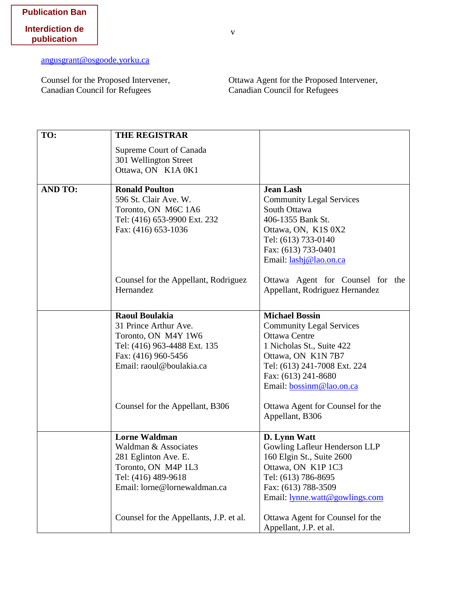[angusgrant@osgoode.yorku.ca](mailto:angusgrant@osgoode.yorku.ca)

Counsel for the Proposed Intervener, Canadian Council for Refugees

Ottawa Agent for the Proposed Intervener, Canadian Council for Refugees

| TO:            | <b>THE REGISTRAR</b>                    |                                  |
|----------------|-----------------------------------------|----------------------------------|
|                | Supreme Court of Canada                 |                                  |
|                | 301 Wellington Street                   |                                  |
|                | Ottawa, ON K1A 0K1                      |                                  |
|                |                                         |                                  |
| <b>AND TO:</b> | <b>Ronald Poulton</b>                   | <b>Jean Lash</b>                 |
|                | 596 St. Clair Ave. W.                   | <b>Community Legal Services</b>  |
|                | Toronto, ON M6C 1A6                     | South Ottawa                     |
|                | Tel: (416) 653-9900 Ext. 232            | 406-1355 Bank St.                |
|                | Fax: (416) 653-1036                     | Ottawa, ON, K1S 0X2              |
|                |                                         | Tel: (613) 733-0140              |
|                |                                         | Fax: (613) 733-0401              |
|                |                                         | Email: lashj@lao.on.ca           |
|                | Counsel for the Appellant, Rodriguez    | Ottawa Agent for Counsel for the |
|                | Hernandez                               | Appellant, Rodriguez Hernandez   |
|                |                                         |                                  |
|                | <b>Raoul Boulakia</b>                   | <b>Michael Bossin</b>            |
|                | 31 Prince Arthur Ave.                   | <b>Community Legal Services</b>  |
|                | Toronto, ON M4Y 1W6                     | <b>Ottawa Centre</b>             |
|                | Tel: (416) 963-4488 Ext. 135            | 1 Nicholas St., Suite 422        |
|                | Fax: (416) 960-5456                     | Ottawa, ON K1N7B7                |
|                | Email: raoul@boulakia.ca                | Tel: (613) 241-7008 Ext. 224     |
|                |                                         | Fax: (613) 241-8680              |
|                |                                         | Email: bossinm@lao.on.ca         |
|                | Counsel for the Appellant, B306         | Ottawa Agent for Counsel for the |
|                |                                         | Appellant, B306                  |
|                | <b>Lorne Waldman</b>                    | D. Lynn Watt                     |
|                | Waldman & Associates                    | Gowling Lafleur Henderson LLP    |
|                | 281 Eglinton Ave. E.                    | 160 Elgin St., Suite 2600        |
|                | Toronto, ON M4P 1L3                     | Ottawa, ON K1P 1C3               |
|                | Tel: (416) 489-9618                     | Tel: (613) 786-8695              |
|                | Email: lorne@lornewaldman.ca            | Fax: (613) 788-3509              |
|                |                                         | Email: lynne.watt@gowlings.com   |
|                | Counsel for the Appellants, J.P. et al. | Ottawa Agent for Counsel for the |
|                |                                         | Appellant, J.P. et al.           |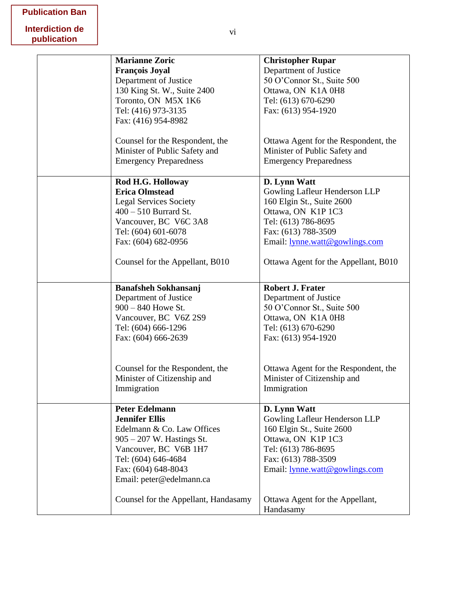| <b>Marianne Zoric</b>                | <b>Christopher Rupar</b>             |
|--------------------------------------|--------------------------------------|
| <b>François Joyal</b>                | Department of Justice                |
| Department of Justice                | 50 O'Connor St., Suite 500           |
| 130 King St. W., Suite 2400          | Ottawa, ON K1A 0H8                   |
| Toronto, ON M5X 1K6                  | Tel: (613) 670-6290                  |
| Tel: (416) 973-3135                  | Fax: (613) 954-1920                  |
| Fax: (416) 954-8982                  |                                      |
|                                      |                                      |
| Counsel for the Respondent, the      | Ottawa Agent for the Respondent, the |
| Minister of Public Safety and        | Minister of Public Safety and        |
| <b>Emergency Preparedness</b>        | <b>Emergency Preparedness</b>        |
|                                      |                                      |
| Rod H.G. Holloway                    | D. Lynn Watt                         |
| <b>Erica Olmstead</b>                | Gowling Lafleur Henderson LLP        |
| <b>Legal Services Society</b>        | 160 Elgin St., Suite 2600            |
| $400 - 510$ Burrard St.              | Ottawa, ON K1P 1C3                   |
| Vancouver, BC V6C 3A8                | Tel: (613) 786-8695                  |
| Tel: (604) 601-6078                  | Fax: (613) 788-3509                  |
| Fax: (604) 682-0956                  | Email: lynne.watt@gowlings.com       |
|                                      |                                      |
| Counsel for the Appellant, B010      | Ottawa Agent for the Appellant, B010 |
|                                      |                                      |
|                                      |                                      |
| <b>Banafsheh Sokhansanj</b>          | <b>Robert J. Frater</b>              |
| Department of Justice                | Department of Justice                |
| $900 - 840$ Howe St.                 | 50 O'Connor St., Suite 500           |
| Vancouver, BC V6Z 2S9                | Ottawa, ON K1A 0H8                   |
| Tel: (604) 666-1296                  | Tel: (613) 670-6290                  |
| Fax: (604) 666-2639                  | Fax: (613) 954-1920                  |
|                                      |                                      |
|                                      |                                      |
| Counsel for the Respondent, the      | Ottawa Agent for the Respondent, the |
| Minister of Citizenship and          | Minister of Citizenship and          |
| Immigration                          | Immigration                          |
|                                      |                                      |
| <b>Peter Edelmann</b>                | D. Lynn Watt                         |
| <b>Jennifer Ellis</b>                | Gowling Lafleur Henderson LLP        |
| Edelmann & Co. Law Offices           | 160 Elgin St., Suite 2600            |
| $905 - 207$ W. Hastings St.          | Ottawa, ON K1P 1C3                   |
| Vancouver, BC V6B 1H7                | Tel: (613) 786-8695                  |
| Tel: (604) 646-4684                  | Fax: (613) 788-3509                  |
| Fax: (604) 648-8043                  | Email: lynne.watt@gowlings.com       |
| Email: peter@edelmann.ca             |                                      |
|                                      |                                      |
| Counsel for the Appellant, Handasamy | Ottawa Agent for the Appellant,      |
|                                      | Handasamy                            |
|                                      |                                      |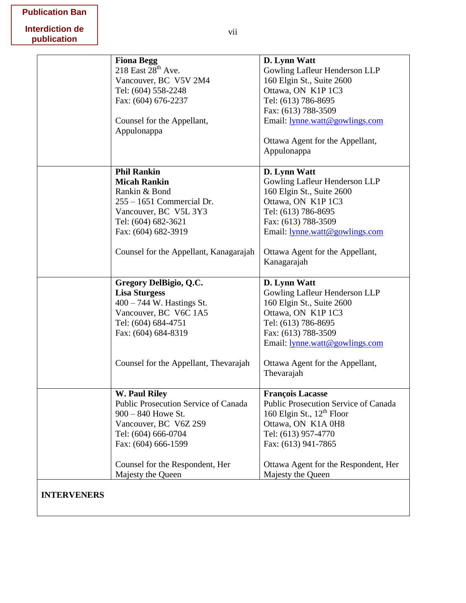|  | <b>Publication Ban</b> |  |
|--|------------------------|--|
|--|------------------------|--|

|                    | <b>Fiona Begg</b><br>218 East $28th$ Ave.<br>Vancouver, BC V5V 2M4<br>Tel: (604) 558-2248<br>Fax: (604) 676-2237<br>Counsel for the Appellant,                                                           | D. Lynn Watt<br>Gowling Lafleur Henderson LLP<br>160 Elgin St., Suite 2600<br>Ottawa, ON K1P 1C3<br>Tel: (613) 786-8695<br>Fax: (613) 788-3509<br>Email: lynne.watt@gowlings.com                                                   |
|--------------------|----------------------------------------------------------------------------------------------------------------------------------------------------------------------------------------------------------|------------------------------------------------------------------------------------------------------------------------------------------------------------------------------------------------------------------------------------|
|                    | Appulonappa                                                                                                                                                                                              | Ottawa Agent for the Appellant,<br>Appulonappa                                                                                                                                                                                     |
|                    | <b>Phil Rankin</b><br><b>Micah Rankin</b><br>Rankin & Bond<br>255 - 1651 Commercial Dr.<br>Vancouver, BC V5L 3Y3<br>Tel: (604) 682-3621<br>Fax: (604) 682-3919<br>Counsel for the Appellant, Kanagarajah | D. Lynn Watt<br>Gowling Lafleur Henderson LLP<br>160 Elgin St., Suite 2600<br>Ottawa, ON K1P 1C3<br>Tel: (613) 786-8695<br>Fax: (613) 788-3509<br>Email: lynne.watt@gowlings.com<br>Ottawa Agent for the Appellant,<br>Kanagarajah |
|                    | Gregory DelBigio, Q.C.<br><b>Lisa Sturgess</b><br>400 - 744 W. Hastings St.<br>Vancouver, BC V6C 1A5<br>Tel: (604) 684-4751<br>Fax: (604) 684-8319<br>Counsel for the Appellant, Thevarajah              | D. Lynn Watt<br>Gowling Lafleur Henderson LLP<br>160 Elgin St., Suite 2600<br>Ottawa, ON K1P 1C3<br>Tel: (613) 786-8695<br>Fax: (613) 788-3509<br>Email: lynne.watt@gowlings.com<br>Ottawa Agent for the Appellant,                |
|                    |                                                                                                                                                                                                          | Thevarajah                                                                                                                                                                                                                         |
|                    | <b>W. Paul Riley</b><br>Public Prosecution Service of Canada<br>$900 - 840$ Howe St.<br>Vancouver, BC V6Z 2S9<br>Tel: (604) 666-0704<br>Fax: (604) 666-1599                                              | <b>François Lacasse</b><br>Public Prosecution Service of Canada<br>160 Elgin St., 12 <sup>th</sup> Floor<br>Ottawa, ON K1A 0H8<br>Tel: (613) 957-4770<br>Fax: (613) 941-7865                                                       |
|                    | Counsel for the Respondent, Her<br>Majesty the Queen                                                                                                                                                     | Ottawa Agent for the Respondent, Her<br>Majesty the Queen                                                                                                                                                                          |
| <b>INTERVENERS</b> |                                                                                                                                                                                                          |                                                                                                                                                                                                                                    |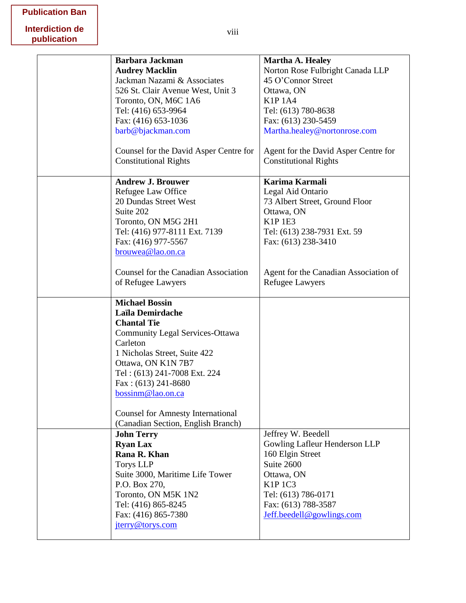|  | <b>Publication Ban</b> |  |
|--|------------------------|--|
|--|------------------------|--|

| <b>Barbara Jackman</b>                   | Martha A. Healey                      |
|------------------------------------------|---------------------------------------|
| <b>Audrey Macklin</b>                    | Norton Rose Fulbright Canada LLP      |
| Jackman Nazami & Associates              | 45 O'Connor Street                    |
| 526 St. Clair Avenue West, Unit 3        | Ottawa, ON                            |
| Toronto, ON, M6C 1A6                     | <b>K1P1A4</b>                         |
| Tel: (416) 653-9964                      | Tel: (613) 780-8638                   |
| Fax: (416) 653-1036                      | Fax: (613) 230-5459                   |
| barb@bjackman.com                        |                                       |
|                                          | Martha.healey@nortonrose.com          |
| Counsel for the David Asper Centre for   | Agent for the David Asper Centre for  |
| <b>Constitutional Rights</b>             | <b>Constitutional Rights</b>          |
|                                          |                                       |
| <b>Andrew J. Brouwer</b>                 | Karima Karmali                        |
| Refugee Law Office                       | Legal Aid Ontario                     |
| 20 Dundas Street West                    | 73 Albert Street, Ground Floor        |
| Suite 202                                | Ottawa, ON                            |
| Toronto, ON M5G 2H1                      | <b>K1P1E3</b>                         |
|                                          |                                       |
| Tel: (416) 977-8111 Ext. 7139            | Tel: (613) 238-7931 Ext. 59           |
| Fax: (416) 977-5567                      | Fax: (613) 238-3410                   |
| brouwea@lao.on.ca                        |                                       |
| Counsel for the Canadian Association     | Agent for the Canadian Association of |
|                                          |                                       |
| of Refugee Lawyers                       | Refugee Lawyers                       |
|                                          |                                       |
|                                          |                                       |
| <b>Michael Bossin</b>                    |                                       |
| Laïla Demirdache                         |                                       |
| <b>Chantal Tie</b>                       |                                       |
| <b>Community Legal Services-Ottawa</b>   |                                       |
| Carleton                                 |                                       |
| 1 Nicholas Street, Suite 422             |                                       |
| Ottawa, ON K1N 7B7                       |                                       |
| Tel: (613) 241-7008 Ext. 224             |                                       |
| Fax: $(613)$ 241-8680                    |                                       |
| bossinm@lao.on.ca                        |                                       |
|                                          |                                       |
| <b>Counsel for Amnesty International</b> |                                       |
| (Canadian Section, English Branch)       |                                       |
| <b>John Terry</b>                        | Jeffrey W. Beedell                    |
| <b>Ryan Lax</b>                          | Gowling Lafleur Henderson LLP         |
| Rana R. Khan                             | 160 Elgin Street                      |
| <b>Torys LLP</b>                         | Suite 2600                            |
| Suite 3000, Maritime Life Tower          | Ottawa, ON                            |
| P.O. Box 270,                            | <b>K1P1C3</b>                         |
| Toronto, ON M5K 1N2                      | Tel: (613) 786-0171                   |
| Tel: (416) 865-8245                      | Fax: (613) 788-3587                   |
| Fax: (416) 865-7380                      | Jeff.beedell@gowlings.com             |
| jterry@torys.com                         |                                       |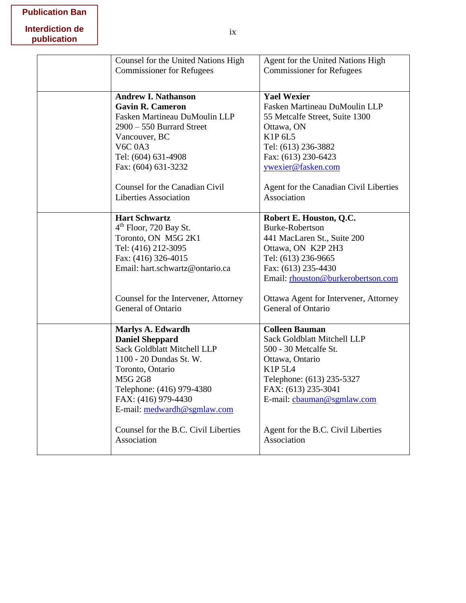# **Publication Ban**

| Counsel for the United Nations High  | Agent for the United Nations High      |
|--------------------------------------|----------------------------------------|
| <b>Commissioner for Refugees</b>     | <b>Commissioner for Refugees</b>       |
|                                      |                                        |
| <b>Andrew I. Nathanson</b>           | <b>Yael Wexier</b>                     |
| <b>Gavin R. Cameron</b>              | Fasken Martineau DuMoulin LLP          |
| Fasken Martineau DuMoulin LLP        |                                        |
|                                      | 55 Metcalfe Street, Suite 1300         |
| $2900 - 550$ Burrard Street          | Ottawa, ON<br>K1P 6L5                  |
| Vancouver, BC<br><b>V6C 0A3</b>      |                                        |
|                                      | Tel: (613) 236-3882                    |
| Tel: (604) 631-4908                  | Fax: (613) 230-6423                    |
| Fax: (604) 631-3232                  | ywexier@fasken.com                     |
| Counsel for the Canadian Civil       | Agent for the Canadian Civil Liberties |
| <b>Liberties Association</b>         | Association                            |
|                                      |                                        |
| <b>Hart Schwartz</b>                 | Robert E. Houston, Q.C.                |
| $4th$ Floor, 720 Bay St.             | <b>Burke-Robertson</b>                 |
| Toronto, ON M5G 2K1                  | 441 MacLaren St., Suite 200            |
| Tel: (416) 212-3095                  | Ottawa, ON K2P 2H3                     |
| Fax: (416) 326-4015                  | Tel: (613) 236-9665                    |
| Email: hart.schwartz@ontario.ca      | Fax: (613) 235-4430                    |
|                                      | Email: rhouston@burkerobertson.com     |
| Counsel for the Intervener, Attorney | Ottawa Agent for Intervener, Attorney  |
| General of Ontario                   | General of Ontario                     |
|                                      |                                        |
| <b>Marlys A. Edwardh</b>             | <b>Colleen Bauman</b>                  |
| <b>Daniel Sheppard</b>               | Sack Goldblatt Mitchell LLP            |
| Sack Goldblatt Mitchell LLP          | 500 - 30 Metcalfe St.                  |
| 1100 - 20 Dundas St. W.              | Ottawa, Ontario                        |
| Toronto, Ontario                     | K1P 5L4                                |
| <b>M5G 2G8</b>                       | Telephone: (613) 235-5327              |
| Telephone: (416) 979-4380            | FAX: (613) 235-3041                    |
| FAX: (416) 979-4430                  | E-mail: cbauman@sgmlaw.com             |
| E-mail: medwardh@sgmlaw.com          |                                        |
| Counsel for the B.C. Civil Liberties | Agent for the B.C. Civil Liberties     |
| Association                          | Association                            |
|                                      |                                        |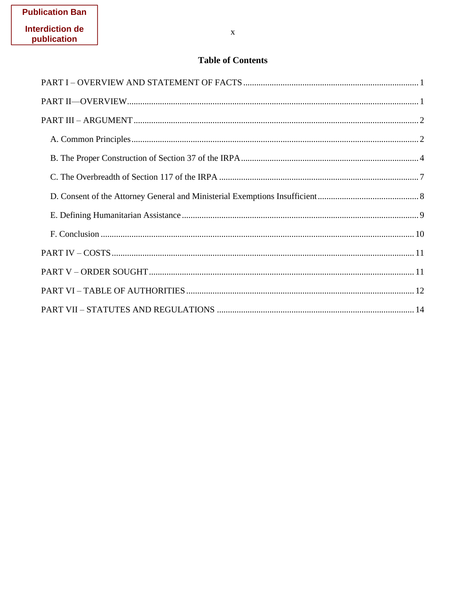# **Table of Contents**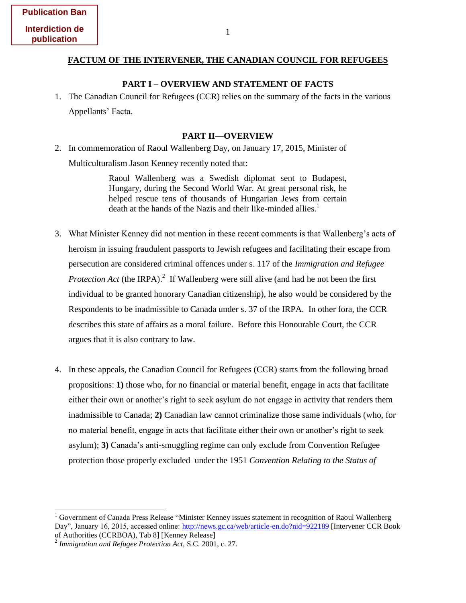#### <span id="page-10-0"></span>**FACTUM OF THE INTERVENER, THE CANADIAN COUNCIL FOR REFUGEES**

#### **PART I – OVERVIEW AND STATEMENT OF FACTS**

1. The Canadian Council for Refugees (CCR) relies on the summary of the facts in the various Appellants' Facta.

#### **PART II—OVERVIEW**

<span id="page-10-1"></span>2. In commemoration of Raoul Wallenberg Day, on January 17, 2015, Minister of Multiculturalism Jason Kenney recently noted that:

> Raoul Wallenberg was a Swedish diplomat sent to Budapest, Hungary, during the Second World War. At great personal risk, he helped rescue tens of thousands of Hungarian Jews from certain death at the hands of the Nazis and their like-minded allies.<sup>1</sup>

- 3. What Minister Kenney did not mention in these recent comments is that Wallenberg's acts of heroism in issuing fraudulent passports to Jewish refugees and facilitating their escape from persecution are considered criminal offences under s. 117 of the *Immigration and Refugee Protection Act* (the IRPA).<sup>2</sup> If Wallenberg were still alive (and had he not been the first individual to be granted honorary Canadian citizenship), he also would be considered by the Respondents to be inadmissible to Canada under s. 37 of the IRPA. In other fora, the CCR describes this state of affairs as a moral failure. Before this Honourable Court, the CCR argues that it is also contrary to law.
- 4. In these appeals, the Canadian Council for Refugees (CCR) starts from the following broad propositions: **1)** those who, for no financial or material benefit, engage in acts that facilitate either their own or another's right to seek asylum do not engage in activity that renders them inadmissible to Canada; **2)** Canadian law cannot criminalize those same individuals (who, for no material benefit, engage in acts that facilitate either their own or another's right to seek asylum); **3)** Canada's anti-smuggling regime can only exclude from Convention Refugee protection those properly excluded under the 1951 *Convention Relating to the Status of*

<sup>&</sup>lt;sup>1</sup> Government of Canada Press Release "Minister Kenney issues statement in recognition of Raoul Wallenberg Day", January 16, 2015, accessed online:<http://news.gc.ca/web/article-en.do?nid=922189>[Intervener CCR Book of Authorities (CCRBOA), Tab 8] [Kenney Release]

<sup>2</sup> *Immigration and Refugee Protection Act,* S.C. 2001, c. 27.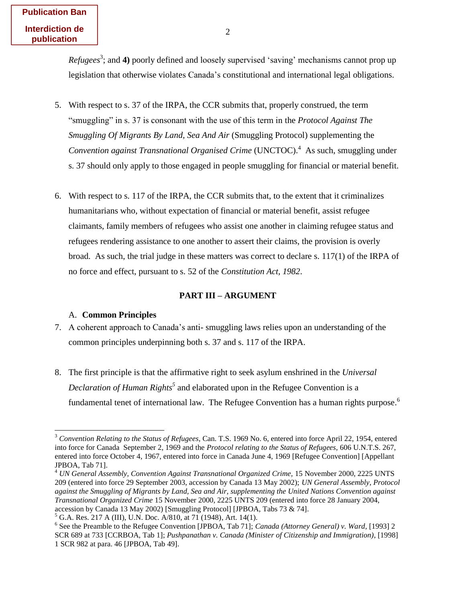**Publication Ban Interdiction de publication**

> *Refugees*<sup>3</sup>; and 4) poorly defined and loosely supervised 'saving' mechanisms cannot prop up legislation that otherwise violates Canada's constitutional and international legal obligations.

- 5. With respect to s. 37 of the IRPA, the CCR submits that, properly construed, the term "smuggling" in s. 37 is consonant with the use of this term in the *Protocol Against The Smuggling Of Migrants By Land, Sea And Air* (Smuggling Protocol) supplementing the Convention against Transnational Organised Crime (UNCTOC).<sup>4</sup> As such, smuggling under s. 37 should only apply to those engaged in people smuggling for financial or material benefit.
- 6. With respect to s. 117 of the IRPA, the CCR submits that, to the extent that it criminalizes humanitarians who, without expectation of financial or material benefit, assist refugee claimants, family members of refugees who assist one another in claiming refugee status and refugees rendering assistance to one another to assert their claims, the provision is overly broad. As such, the trial judge in these matters was correct to declare s. 117(1) of the IRPA of no force and effect, pursuant to s. 52 of the *Constitution Act, 1982*.

#### **PART III – ARGUMENT**

#### <span id="page-11-1"></span><span id="page-11-0"></span>A. **Common Principles**

- 7. A coherent approach to Canada's anti- smuggling laws relies upon an understanding of the common principles underpinning both s. 37 and s. 117 of the IRPA.
- 8. The first principle is that the affirmative right to seek asylum enshrined in the *Universal Declaration of Human Rights<sup>5</sup>* and elaborated upon in the Refugee Convention is a fundamental tenet of international law. The Refugee Convention has a human rights purpose.<sup>6</sup>

<sup>3</sup> *Convention Relating to the Status of Refugees*, Can. T.S. 1969 No. 6, entered into force April 22, 1954, entered into force for Canada September 2, 1969 and the *Protocol relating to the Status of Refugees*, 606 U.N.T.S. 267, entered into force October 4, 1967, entered into force in Canada June 4, 1969 [Refugee Convention] [Appellant JPBOA, Tab 71].

<sup>&</sup>lt;sup>4</sup> *UN General Assembly, Convention Against Transnational Organized Crime, 15 November 2000, 2225 UNTS* 209 (entered into force 29 September 2003, accession by Canada 13 May 2002); *UN General Assembly, Protocol against the Smuggling of Migrants by Land, Sea and Air, supplementing the United Nations Convention against Transnational Organized Crime* 15 November 2000, 2225 UNTS 209 (entered into force 28 January 2004, accession by Canada 13 May 2002) [Smuggling Protocol] [JPBOA, Tabs 73 & 74].

<sup>5</sup> G.A. Res. 217 A (III), U.N. Doc. A/810, at 71 (1948), Art. 14(1).

<sup>&</sup>lt;sup>6</sup> See the Preamble to the Refugee Convention [JPBOA, Tab 71]; *Canada (Attorney General) v. Ward*, [1993] 2 SCR 689 at 733 [CCRBOA, Tab 1]; *Pushpanathan v. Canada (Minister of Citizenship and Immigration)*, [1998] 1 SCR 982 at para. 46 [JPBOA, Tab 49].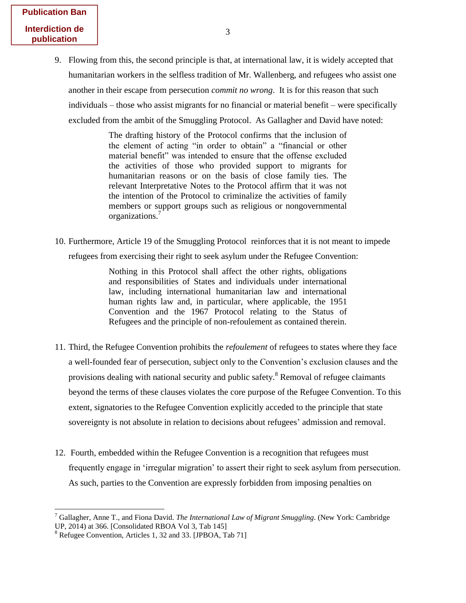| <b>Publication Ban</b> |
|------------------------|
| Interdiction de        |
| publication            |

9. Flowing from this, the second principle is that, at international law, it is widely accepted that humanitarian workers in the selfless tradition of Mr. Wallenberg, and refugees who assist one another in their escape from persecution *commit no wrong*. It is for this reason that such individuals – those who assist migrants for no financial or material benefit – were specifically excluded from the ambit of the Smuggling Protocol. As Gallagher and David have noted:

> The drafting history of the Protocol confirms that the inclusion of the element of acting "in order to obtain" a "financial or other material benefit" was intended to ensure that the offense excluded the activities of those who provided support to migrants for humanitarian reasons or on the basis of close family ties. The relevant Interpretative Notes to the Protocol affirm that it was not the intention of the Protocol to criminalize the activities of family members or support groups such as religious or nongovernmental organizations.<sup>7</sup>

10. Furthermore, Article 19 of the Smuggling Protocol reinforces that it is not meant to impede refugees from exercising their right to seek asylum under the Refugee Convention:

> Nothing in this Protocol shall affect the other rights, obligations and responsibilities of States and individuals under international law, including international humanitarian law and international human rights law and, in particular, where applicable, the 1951 Convention and the 1967 Protocol relating to the Status of Refugees and the principle of non-refoulement as contained therein.

- 11. Third, the Refugee Convention prohibits the *refoulement* of refugees to states where they face a well-founded fear of persecution, subject only to the Convention's exclusion clauses and the provisions dealing with national security and public safety.<sup>8</sup> Removal of refugee claimants beyond the terms of these clauses violates the core purpose of the Refugee Convention. To this extent, signatories to the Refugee Convention explicitly acceded to the principle that state sovereignty is not absolute in relation to decisions about refugees' admission and removal.
- 12. Fourth, embedded within the Refugee Convention is a recognition that refugees must frequently engage in 'irregular migration' to assert their right to seek asylum from persecution. As such, parties to the Convention are expressly forbidden from imposing penalties on

<sup>7</sup> Gallagher, Anne T., and Fiona David. *The International Law of Migrant Smuggling*. (New York: Cambridge UP, 2014) at 366. [Consolidated RBOA Vol 3, Tab 145]

<sup>&</sup>lt;sup>8</sup> Refugee Convention, Articles 1, 32 and 33. [JPBOA, Tab 71]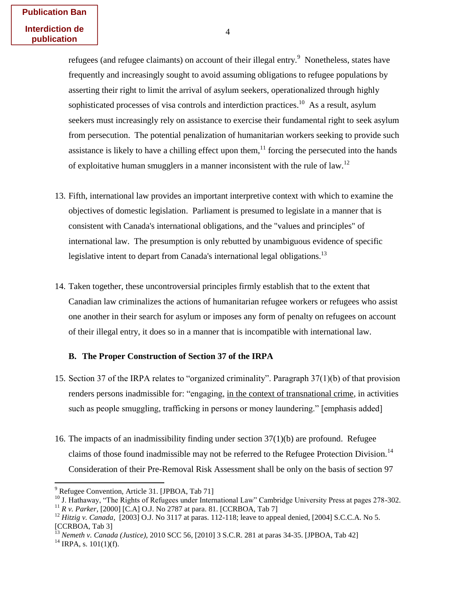refugees (and refugee claimants) on account of their illegal entry.<sup>9</sup> Nonetheless, states have frequently and increasingly sought to avoid assuming obligations to refugee populations by asserting their right to limit the arrival of asylum seekers, operationalized through highly sophisticated processes of visa controls and interdiction practices.<sup>10</sup> As a result, asylum seekers must increasingly rely on assistance to exercise their fundamental right to seek asylum from persecution. The potential penalization of humanitarian workers seeking to provide such assistance is likely to have a chilling effect upon them,<sup>11</sup> forcing the persecuted into the hands of exploitative human smugglers in a manner inconsistent with the rule of law.<sup>12</sup>

- 13. Fifth, international law provides an important interpretive context with which to examine the objectives of domestic legislation. Parliament is presumed to legislate in a manner that is consistent with Canada's international obligations, and the "values and principles" of international law. The presumption is only rebutted by unambiguous evidence of specific legislative intent to depart from Canada's international legal obligations.<sup>13</sup>
- 14. Taken together, these uncontroversial principles firmly establish that to the extent that Canadian law criminalizes the actions of humanitarian refugee workers or refugees who assist one another in their search for asylum or imposes any form of penalty on refugees on account of their illegal entry, it does so in a manner that is incompatible with international law.

#### <span id="page-13-0"></span>**B. The Proper Construction of Section 37 of the IRPA**

- 15. Section 37 of the IRPA relates to "organized criminality". Paragraph 37(1)(b) of that provision renders persons inadmissible for: "engaging, in the context of transnational crime, in activities such as people smuggling, trafficking in persons or money laundering." [emphasis added]
- 16. The impacts of an inadmissibility finding under section 37(1)(b) are profound. Refugee claims of those found inadmissible may not be referred to the Refugee Protection Division.<sup>14</sup> Consideration of their Pre-Removal Risk Assessment shall be only on the basis of section 97

 $9^9$  Refugee Convention, Article 31. [JPBOA, Tab 71]

<sup>&</sup>lt;sup>10</sup> J. Hathaway, "The Rights of Refugees under International Law" Cambridge University Press at pages 278-302.

<sup>11</sup> *R v. Parker,* [2000] [C.A] O.J. No 2787 at para. 81. [CCRBOA, Tab 7]

<sup>12</sup> *Hitzig v. Canada,* [2003] O.J. No 3117 at paras. 112-118; leave to appeal denied, [2004] S.C.C.A. No 5. [CCRBOA, Tab 3]

<sup>13</sup> *Nemeth v. Canada (Justice),* 2010 SCC 56, [2010] 3 S.C.R. 281 at paras 34-35. [JPBOA, Tab 42]

 $^{14}$  IRPA, s. 101(1)(f).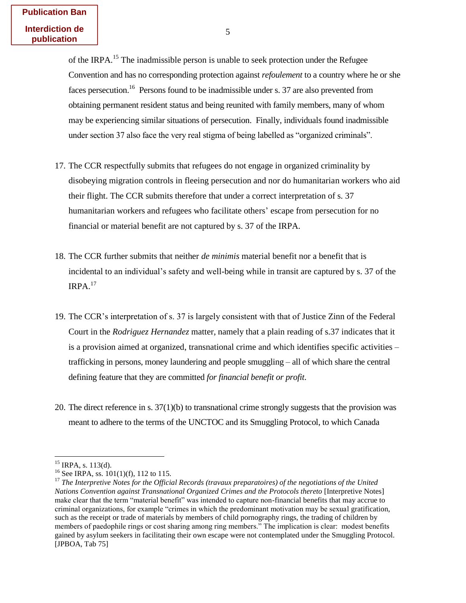of the IRPA.<sup>15</sup> The inadmissible person is unable to seek protection under the Refugee Convention and has no corresponding protection against *refoulement* to a country where he or she faces persecution.<sup>16</sup> Persons found to be inadmissible under s. 37 are also prevented from obtaining permanent resident status and being reunited with family members, many of whom may be experiencing similar situations of persecution. Finally, individuals found inadmissible under section 37 also face the very real stigma of being labelled as "organized criminals".

- 17. The CCR respectfully submits that refugees do not engage in organized criminality by disobeying migration controls in fleeing persecution and nor do humanitarian workers who aid their flight. The CCR submits therefore that under a correct interpretation of s. 37 humanitarian workers and refugees who facilitate others' escape from persecution for no financial or material benefit are not captured by s. 37 of the IRPA.
- 18. The CCR further submits that neither *de minimis* material benefit nor a benefit that is incidental to an individual's safety and well-being while in transit are captured by s. 37 of the  $IRPA.<sup>17</sup>$
- 19. The CCR's interpretation of s. 37 is largely consistent with that of Justice Zinn of the Federal Court in the *Rodriguez Hernandez* matter, namely that a plain reading of s.37 indicates that it is a provision aimed at organized, transnational crime and which identifies specific activities – trafficking in persons, money laundering and people smuggling – all of which share the central defining feature that they are committed *for financial benefit or profit*.
- 20. The direct reference in s. 37(1)(b) to transnational crime strongly suggests that the provision was meant to adhere to the terms of the UNCTOC and its Smuggling Protocol, to which Canada

  $^{15}$  IRPA, s. 113(d).

<sup>&</sup>lt;sup>16</sup> See IRPA, ss.  $101(1)(f)$ , 112 to 115.

<sup>17</sup> *The Interpretive Notes for the Official Records (travaux preparatoires) of the negotiations of the United Nations Convention against Transnational Organized Crimes and the Protocols thereto* [Interpretive Notes] make clear that the term "material benefit" was intended to capture non-financial benefits that may accrue to criminal organizations, for example "crimes in which the predominant motivation may be sexual gratification, such as the receipt or trade of materials by members of child pornography rings, the trading of children by members of paedophile rings or cost sharing among ring members." The implication is clear: modest benefits gained by asylum seekers in facilitating their own escape were not contemplated under the Smuggling Protocol. [JPBOA, Tab 75]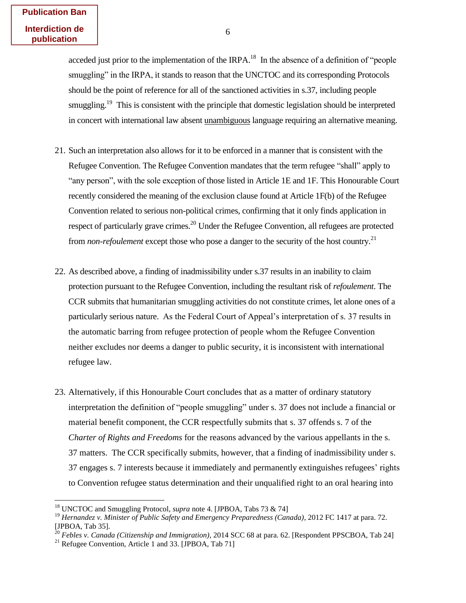acceded just prior to the implementation of the IRPA.<sup>18</sup> In the absence of a definition of "people" smuggling" in the IRPA, it stands to reason that the UNCTOC and its corresponding Protocols should be the point of reference for all of the sanctioned activities in s.37, including people smuggling.<sup>19</sup> This is consistent with the principle that domestic legislation should be interpreted in concert with international law absent unambiguous language requiring an alternative meaning.

- 21. Such an interpretation also allows for it to be enforced in a manner that is consistent with the Refugee Convention. The Refugee Convention mandates that the term refugee "shall" apply to "any person", with the sole exception of those listed in Article 1E and 1F. This Honourable Court recently considered the meaning of the exclusion clause found at Article 1F(b) of the Refugee Convention related to serious non-political crimes, confirming that it only finds application in respect of particularly grave crimes.<sup>20</sup> Under the Refugee Convention, all refugees are protected from *non*-*refoulement* except those who pose a danger to the security of the host country.<sup>21</sup>
- 22. As described above, a finding of inadmissibility under s.37 results in an inability to claim protection pursuant to the Refugee Convention, including the resultant risk of *refoulement*. The CCR submits that humanitarian smuggling activities do not constitute crimes, let alone ones of a particularly serious nature. As the Federal Court of Appeal's interpretation of s. 37 results in the automatic barring from refugee protection of people whom the Refugee Convention neither excludes nor deems a danger to public security, it is inconsistent with international refugee law.
- 23. Alternatively, if this Honourable Court concludes that as a matter of ordinary statutory interpretation the definition of "people smuggling" under s. 37 does not include a financial or material benefit component, the CCR respectfully submits that s. 37 offends s. 7 of the *Charter of Rights and Freedoms* for the reasons advanced by the various appellants in the s. 37 matters. The CCR specifically submits, however, that a finding of inadmissibility under s. 37 engages s. 7 interests because it immediately and permanently extinguishes refugees' rights to Convention refugee status determination and their unqualified right to an oral hearing into

<sup>18</sup> UNCTOC and Smuggling Protocol, *supra* note 4. [JPBOA, Tabs 73 & 74]

<sup>19</sup> *Hernandez v. Minister of Public Safety and Emergency Preparedness (Canada)*, 2012 FC 1417 at para. 72. [JPBOA, Tab 35].

<sup>20</sup> *Febles v. Canada (Citizenship and Immigration)*, 2014 SCC 68 at para. 62. [Respondent PPSCBOA, Tab 24]

<sup>&</sup>lt;sup>21</sup> Refugee Convention, Article 1 and 33. [JPBOA, Tab 71]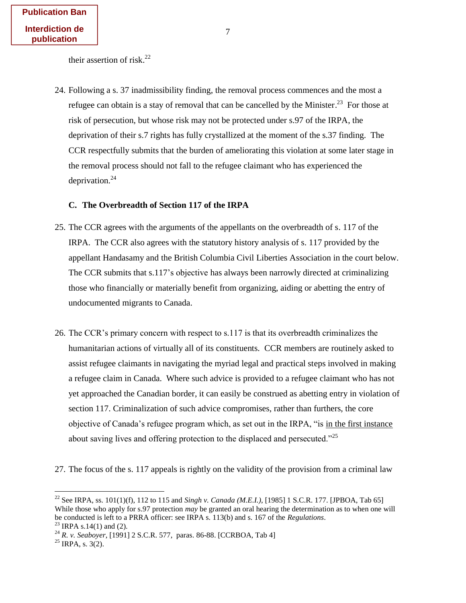their assertion of risk.<sup>22</sup>

24. Following a s. 37 inadmissibility finding, the removal process commences and the most a refugee can obtain is a stay of removal that can be cancelled by the Minister.<sup>23</sup> For those at risk of persecution, but whose risk may not be protected under s.97 of the IRPA, the deprivation of their s.7 rights has fully crystallized at the moment of the s.37 finding. The CCR respectfully submits that the burden of ameliorating this violation at some later stage in the removal process should not fall to the refugee claimant who has experienced the deprivation. $^{24}$ 

## <span id="page-16-0"></span>**C. The Overbreadth of Section 117 of the IRPA**

- 25. The CCR agrees with the arguments of the appellants on the overbreadth of s. 117 of the IRPA. The CCR also agrees with the statutory history analysis of s. 117 provided by the appellant Handasamy and the British Columbia Civil Liberties Association in the court below. The CCR submits that s.117's objective has always been narrowly directed at criminalizing those who financially or materially benefit from organizing, aiding or abetting the entry of undocumented migrants to Canada.
- 26. The CCR's primary concern with respect to s.117 is that its overbreadth criminalizes the humanitarian actions of virtually all of its constituents. CCR members are routinely asked to assist refugee claimants in navigating the myriad legal and practical steps involved in making a refugee claim in Canada. Where such advice is provided to a refugee claimant who has not yet approached the Canadian border, it can easily be construed as abetting entry in violation of section 117. Criminalization of such advice compromises, rather than furthers, the core objective of Canada's refugee program which, as set out in the IRPA, "is in the first instance about saving lives and offering protection to the displaced and persecuted."<sup>25</sup>
- 27. The focus of the s. 117 appeals is rightly on the validity of the provision from a criminal law

 $\overline{a}$ 

<sup>22</sup> See IRPA, ss. 101(1)(f), 112 to 115 and *Singh v. Canada (M.E.I.)*, [1985] 1 S.C.R. 177. [JPBOA, Tab 65] While those who apply for s.97 protection *may* be granted an oral hearing the determination as to when one will be conducted is left to a PRRA officer: see IRPA s. 113(b) and s. 167 of the *Regulations*. <sup>23</sup> IRPA s.14(1) and (2).

<sup>24</sup> *R. v. Seaboyer*, [1991] 2 S.C.R. 577, paras. 86-88. [CCRBOA, Tab 4]

 $^{25}$  IRPA, s. 3(2).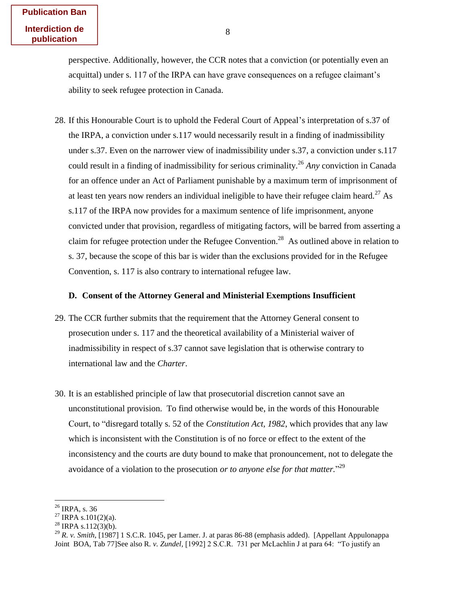perspective. Additionally, however, the CCR notes that a conviction (or potentially even an acquittal) under s. 117 of the IRPA can have grave consequences on a refugee claimant's ability to seek refugee protection in Canada.

28. If this Honourable Court is to uphold the Federal Court of Appeal's interpretation of s.37 of the IRPA, a conviction under s.117 would necessarily result in a finding of inadmissibility under s.37. Even on the narrower view of inadmissibility under s.37, a conviction under s.117 could result in a finding of inadmissibility for serious criminality.<sup>26</sup> *Any* conviction in Canada for an offence under an Act of Parliament punishable by a maximum term of imprisonment of at least ten years now renders an individual ineligible to have their refugee claim heard.<sup>27</sup> As s.117 of the IRPA now provides for a maximum sentence of life imprisonment, anyone convicted under that provision, regardless of mitigating factors, will be barred from asserting a claim for refugee protection under the Refugee Convention.<sup>28</sup> As outlined above in relation to s. 37, because the scope of this bar is wider than the exclusions provided for in the Refugee Convention, s. 117 is also contrary to international refugee law.

#### <span id="page-17-0"></span>**D. Consent of the Attorney General and Ministerial Exemptions Insufficient**

- 29. The CCR further submits that the requirement that the Attorney General consent to prosecution under s. 117 and the theoretical availability of a Ministerial waiver of inadmissibility in respect of s.37 cannot save legislation that is otherwise contrary to international law and the *Charter*.
- 30. It is an established principle of law that prosecutorial discretion cannot save an unconstitutional provision. To find otherwise would be, in the words of this Honourable Court, to "disregard totally s. 52 of the *Constitution Act, 1982*, which provides that any law which is inconsistent with the Constitution is of no force or effect to the extent of the inconsistency and the courts are duty bound to make that pronouncement, not to delegate the avoidance of a violation to the prosecution *or to anyone else for that matter.*" 29

 $^{26}$  IRPA, s. 36

 $^{27}$  IRPA s.101(2)(a).

 $^{28}$  IRPA s.112(3)(b).

<sup>29</sup> *R. v. Smith*, [1987] 1 S.C.R. 1045, per Lamer. J. at paras 86-88 (emphasis added). [Appellant Appulonappa Joint BOA, Tab 77]See also R*. v. Zundel,* [1992] 2 S.C.R. 731 per McLachlin J at para 64: "To justify an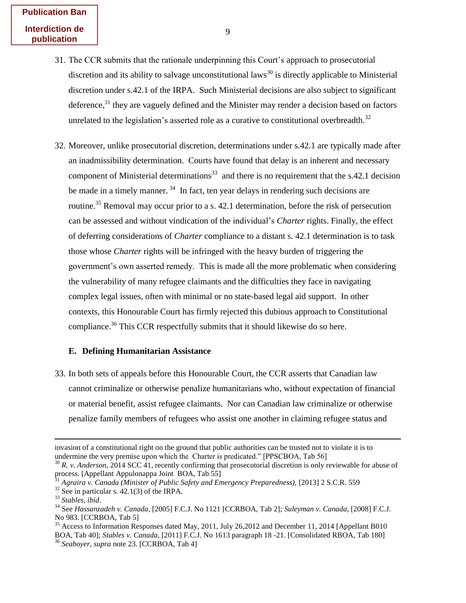- 31. The CCR submits that the rationale underpinning this Court's approach to prosecutorial discretion and its ability to salvage unconstitutional laws<sup>30</sup> is directly applicable to Ministerial discretion under s.42.1 of the IRPA. Such Ministerial decisions are also subject to significant deference,  $31$  they are vaguely defined and the Minister may render a decision based on factors unrelated to the legislation's asserted role as a curative to constitutional overbreadth.<sup>32</sup>
- 32. Moreover, unlike prosecutorial discretion, determinations under s.42.1 are typically made after an inadmissibility determination. Courts have found that delay is an inherent and necessary component of Ministerial determinations<sup>33</sup> and there is no requirement that the s.42.1 decision be made in a timely manner.<sup>34</sup> In fact, ten year delays in rendering such decisions are routine.<sup>35</sup> Removal may occur prior to a s. 42.1 determination, before the risk of persecution can be assessed and without vindication of the individual's *Charter* rights. Finally, the effect of deferring considerations of *Charter* compliance to a distant s. 42.1 determination is to task those whose *Charter* rights will be infringed with the heavy burden of triggering the government's own asserted remedy. This is made all the more problematic when considering the vulnerability of many refugee claimants and the difficulties they face in navigating complex legal issues, often with minimal or no state-based legal aid support. In other contexts, this Honourable Court has firmly rejected this dubious approach to Constitutional compliance.<sup>36</sup> This CCR respectfully submits that it should likewise do so here.

#### <span id="page-18-0"></span>**E. Defining Humanitarian Assistance**

33. In both sets of appeals before this Honourable Court, the CCR asserts that Canadian law cannot criminalize or otherwise penalize humanitarians who, without expectation of financial or material benefit, assist refugee claimants. Nor can Canadian law criminalize or otherwise penalize family members of refugees who assist one another in claiming refugee status and

 $\overline{a}$ 

invasion of a constitutional right on the ground that public authorities can be trusted not to violate it is to undermine the very premise upon which the Charter is predicated." [PPSCBOA, Tab 56]

<sup>30</sup> *R. v. Anderson,* 2014 SCC 41, recently confirming that prosecutorial discretion is only reviewable for abuse of process. [Appellant Appulonappa Joint BOA, Tab 55]

<sup>31</sup> *Agraira v. Canada (Minister of Public Safety and Emergency Preparedness),* [2013] 2 S.C.R. 559

 $32$  See in particular s. 42.1(3) of the IRPA.

<sup>33</sup> *Stables, ibid*.

<sup>34</sup> See *Hassanzadeh v. Canada,* [2005] F.C.J. No 1121 [CCRBOA, Tab 2]; *Suleyman v. Canada*, [2008] F.C.J. No 983. [CCRBOA, Tab 5]

<sup>&</sup>lt;sup>35</sup> Access to Information Responses dated May, 2011, July 26,2012 and December 11, 2014 [Appellant B010] BOA, Tab 40]; *Stables v. Canada,* [2011] F.C.J. No 1613 paragraph 18 -21. [Consolidated RBOA, Tab 180] <sup>36</sup> *Seaboyer, supra* note 23. [CCRBOA, Tab 4]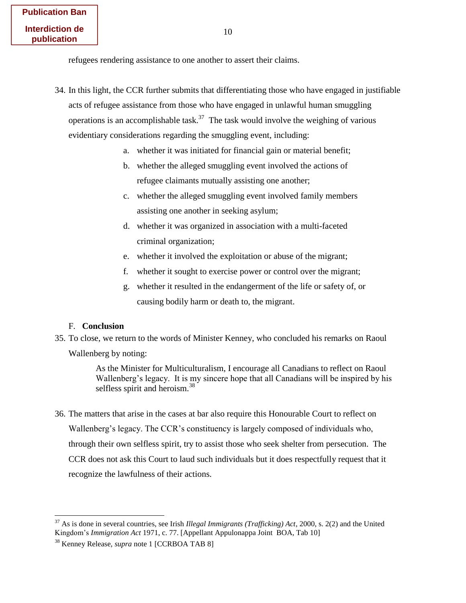refugees rendering assistance to one another to assert their claims.

- 34. In this light, the CCR further submits that differentiating those who have engaged in justifiable acts of refugee assistance from those who have engaged in unlawful human smuggling operations is an accomplishable task.<sup>37</sup> The task would involve the weighing of various evidentiary considerations regarding the smuggling event, including:
	- a. whether it was initiated for financial gain or material benefit;
	- b. whether the alleged smuggling event involved the actions of refugee claimants mutually assisting one another;
	- c. whether the alleged smuggling event involved family members assisting one another in seeking asylum;
	- d. whether it was organized in association with a multi-faceted criminal organization;
	- e. whether it involved the exploitation or abuse of the migrant;
	- f. whether it sought to exercise power or control over the migrant;
	- g. whether it resulted in the endangerment of the life or safety of, or causing bodily harm or death to, the migrant.

#### <span id="page-19-0"></span>F. **Conclusion**

 $\overline{a}$ 

35. To close, we return to the words of Minister Kenney, who concluded his remarks on Raoul Wallenberg by noting:

> As the Minister for Multiculturalism, I encourage all Canadians to reflect on Raoul Wallenberg's legacy. It is my sincere hope that all Canadians will be inspired by his selfless spirit and heroism.<sup>38</sup>

36. The matters that arise in the cases at bar also require this Honourable Court to reflect on Wallenberg's legacy. The CCR's constituency is largely composed of individuals who, through their own selfless spirit, try to assist those who seek shelter from persecution. The CCR does not ask this Court to laud such individuals but it does respectfully request that it recognize the lawfulness of their actions.

<sup>37</sup> As is done in several countries, see Irish *Illegal Immigrants (Trafficking) Act*, 2000, s. 2(2) and the United Kingdom's *Immigration Act* 1971, c. 77. [Appellant Appulonappa Joint BOA, Tab 10]

<sup>38</sup> Kenney Release, *supra* note 1 [CCRBOA TAB 8]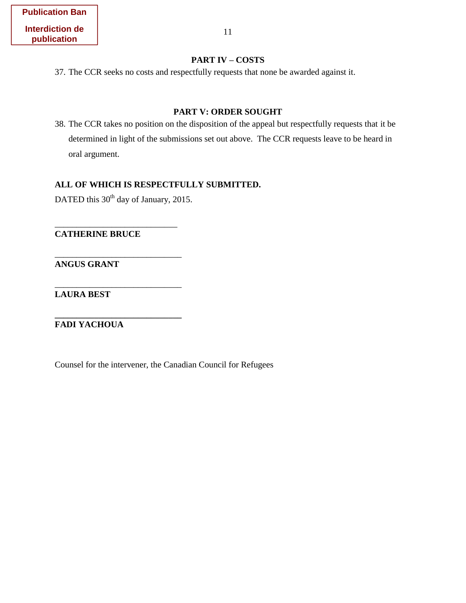## **PART IV – COSTS**

<span id="page-20-0"></span>37. The CCR seeks no costs and respectfully requests that none be awarded against it.

## **PART V: ORDER SOUGHT**

<span id="page-20-1"></span>38. The CCR takes no position on the disposition of the appeal but respectfully requests that it be determined in light of the submissions set out above. The CCR requests leave to be heard in oral argument.

## **ALL OF WHICH IS RESPECTFULLY SUBMITTED.**

DATED this 30<sup>th</sup> day of January, 2015.

\_\_\_\_\_\_\_\_\_\_\_\_\_\_\_\_\_\_\_\_\_\_\_\_\_\_\_\_

\_\_\_\_\_\_\_\_\_\_\_\_\_\_\_\_\_\_\_\_\_\_\_\_\_\_\_\_\_

\_\_\_\_\_\_\_\_\_\_\_\_\_\_\_\_\_\_\_\_\_\_\_\_\_\_\_\_\_

**\_\_\_\_\_\_\_\_\_\_\_\_\_\_\_\_\_\_\_\_\_\_\_\_\_\_\_\_\_** 

**CATHERINE BRUCE** 

**ANGUS GRANT** 

**LAURA BEST** 

**FADI YACHOUA** 

Counsel for the intervener, the Canadian Council for Refugees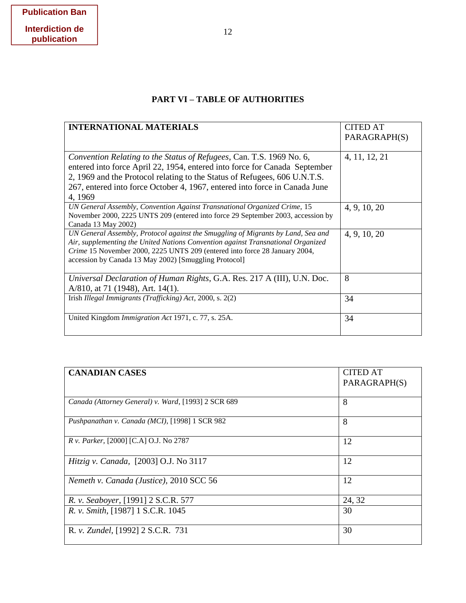# **PART VI – TABLE OF AUTHORITIES**

<span id="page-21-0"></span>

| <b>INTERNATIONAL MATERIALS</b>                                                                                                                                                                                                                                                                                           | <b>CITED AT</b><br>PARAGRAPH(S) |
|--------------------------------------------------------------------------------------------------------------------------------------------------------------------------------------------------------------------------------------------------------------------------------------------------------------------------|---------------------------------|
| Convention Relating to the Status of Refugees, Can. T.S. 1969 No. 6,<br>entered into force April 22, 1954, entered into force for Canada September<br>2, 1969 and the Protocol relating to the Status of Refugees, 606 U.N.T.S.<br>267, entered into force October 4, 1967, entered into force in Canada June<br>4, 1969 | 4, 11, 12, 21                   |
| UN General Assembly, Convention Against Transnational Organized Crime, 15<br>November 2000, 2225 UNTS 209 (entered into force 29 September 2003, accession by<br>Canada 13 May 2002)                                                                                                                                     | 4, 9, 10, 20                    |
| UN General Assembly, Protocol against the Smuggling of Migrants by Land, Sea and<br>Air, supplementing the United Nations Convention against Transnational Organized<br>Crime 15 November 2000, 2225 UNTS 209 (entered into force 28 January 2004,<br>accession by Canada 13 May 2002) [Smuggling Protocol]              | 4, 9, 10, 20                    |
| Universal Declaration of Human Rights, G.A. Res. 217 A (III), U.N. Doc.<br>A/810, at 71 (1948), Art. 14(1).                                                                                                                                                                                                              | 8                               |
| Irish Illegal Immigrants (Trafficking) Act, 2000, s. 2(2)                                                                                                                                                                                                                                                                | 34                              |
| United Kingdom Immigration Act 1971, c. 77, s. 25A.                                                                                                                                                                                                                                                                      | 34                              |

| <b>CANADIAN CASES</b>                               | <b>CITED AT</b> |
|-----------------------------------------------------|-----------------|
|                                                     | PARAGRAPH(S)    |
|                                                     |                 |
| Canada (Attorney General) v. Ward, [1993] 2 SCR 689 | 8               |
| Pushpanathan v. Canada (MCI), [1998] 1 SCR 982      | 8               |
| <i>R v. Parker,</i> [2000] [C.A] O.J. No 2787       | 12              |
| Hitzig v. Canada, [2003] O.J. No 3117               | 12              |
| Nemeth v. Canada (Justice), 2010 SCC 56             | 12              |
| R. v. Seaboyer, [1991] 2 S.C.R. 577                 | 24, 32          |
| R. v. Smith, [1987] 1 S.C.R. 1045                   | 30              |
| R. v. Zundel, [1992] 2 S.C.R. 731                   | 30              |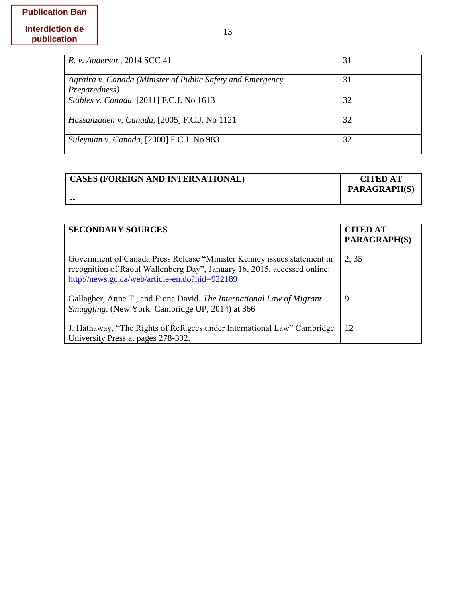| R. v. Anderson, 2014 SCC 41                                                 | 31 |
|-----------------------------------------------------------------------------|----|
| Agraira v. Canada (Minister of Public Safety and Emergency<br>Preparedness) | 31 |
| Stables v. Canada, [2011] F.C.J. No 1613                                    | 32 |
| Hassanzadeh v. Canada, [2005] F.C.J. No 1121                                | 32 |
| Suleyman v. Canada, [2008] F.C.J. No 983                                    | 32 |

| <b>CASES (FOREIGN AND INTERNATIONAL)</b> | <b>CITED AT</b><br><b>PARAGRAPH(S)</b> |
|------------------------------------------|----------------------------------------|
| --                                       |                                        |

| <b>SECONDARY SOURCES</b>                                                                                                                                                                              | <b>CITED AT</b><br><b>PARAGRAPH(S)</b> |
|-------------------------------------------------------------------------------------------------------------------------------------------------------------------------------------------------------|----------------------------------------|
| Government of Canada Press Release "Minister Kenney issues statement in<br>recognition of Raoul Wallenberg Day", January 16, 2015, accessed online:<br>http://news.gc.ca/web/article-en.do?nid=922189 | 2, 35                                  |
| Gallagher, Anne T., and Fiona David. The International Law of Migrant<br><i>Smuggling.</i> (New York: Cambridge UP, 2014) at 366                                                                      | 9                                      |
| J. Hathaway, "The Rights of Refugees under International Law" Cambridge<br>University Press at pages 278-302.                                                                                         | 12                                     |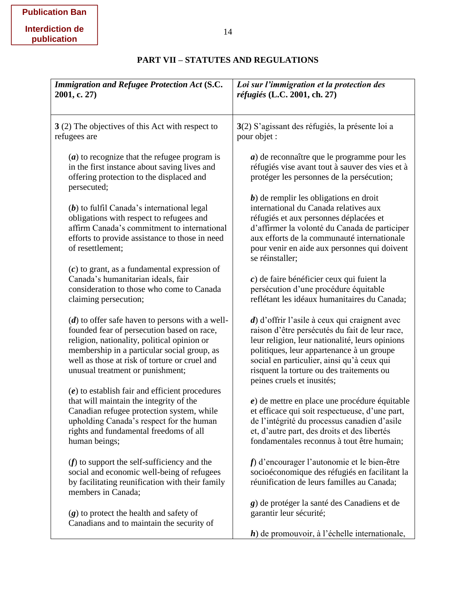<span id="page-23-0"></span>

| <b>Immigration and Refugee Protection Act (S.C.</b><br>2001, c. 27)                                                                                                                                                                                                                | Loi sur l'immigration et la protection des<br>réfugiés (L.C. 2001, ch. 27)                                                                                                                                                                                                                                               |
|------------------------------------------------------------------------------------------------------------------------------------------------------------------------------------------------------------------------------------------------------------------------------------|--------------------------------------------------------------------------------------------------------------------------------------------------------------------------------------------------------------------------------------------------------------------------------------------------------------------------|
| 3 (2) The objectives of this Act with respect to<br>refugees are                                                                                                                                                                                                                   | 3(2) S'agissant des réfugiés, la présente loi a<br>pour objet :                                                                                                                                                                                                                                                          |
| $(a)$ to recognize that the refugee program is<br>in the first instance about saving lives and<br>offering protection to the displaced and<br>persecuted;                                                                                                                          | $a)$ de reconnaître que le programme pour les<br>réfugiés vise avant tout à sauver des vies et à<br>protéger les personnes de la persécution;                                                                                                                                                                            |
| $(b)$ to fulfil Canada's international legal<br>obligations with respect to refugees and<br>affirm Canada's commitment to international<br>efforts to provide assistance to those in need<br>of resettlement;                                                                      | $b$ ) de remplir les obligations en droit<br>international du Canada relatives aux<br>réfugiés et aux personnes déplacées et<br>d'affirmer la volonté du Canada de participer<br>aux efforts de la communauté internationale<br>pour venir en aide aux personnes qui doivent<br>se réinstaller;                          |
| $(c)$ to grant, as a fundamental expression of<br>Canada's humanitarian ideals, fair<br>consideration to those who come to Canada<br>claiming persecution;                                                                                                                         | $c$ ) de faire bénéficier ceux qui fuient la<br>persécution d'une procédure équitable<br>reflétant les idéaux humanitaires du Canada;                                                                                                                                                                                    |
| $(d)$ to offer safe haven to persons with a well-<br>founded fear of persecution based on race,<br>religion, nationality, political opinion or<br>membership in a particular social group, as<br>well as those at risk of torture or cruel and<br>unusual treatment or punishment; | d) d'offrir l'asile à ceux qui craignent avec<br>raison d'être persécutés du fait de leur race,<br>leur religion, leur nationalité, leurs opinions<br>politiques, leur appartenance à un groupe<br>social en particulier, ainsi qu'à ceux qui<br>risquent la torture ou des traitements ou<br>peines cruels et inusités; |
| $(e)$ to establish fair and efficient procedures<br>that will maintain the integrity of the<br>Canadian refugee protection system, while<br>upholding Canada's respect for the human<br>rights and fundamental freedoms of all<br>human beings;                                    | $e$ ) de mettre en place une procédure équitable<br>et efficace qui soit respectueuse, d'une part,<br>de l'intégrité du processus canadien d'asile<br>et, d'autre part, des droits et des libertés<br>fondamentales reconnus à tout être humain;                                                                         |
| $(f)$ to support the self-sufficiency and the<br>social and economic well-being of refugees<br>by facilitating reunification with their family<br>members in Canada;                                                                                                               | $f$ ) d'encourager l'autonomie et le bien-être<br>socioéconomique des réfugiés en facilitant la<br>réunification de leurs familles au Canada;                                                                                                                                                                            |
| $(g)$ to protect the health and safety of<br>Canadians and to maintain the security of                                                                                                                                                                                             | g) de protéger la santé des Canadiens et de<br>garantir leur sécurité;<br>$\boldsymbol{h}$ ) de promouvoir, à l'échelle internationale,                                                                                                                                                                                  |

## **PART VII – STATUTES AND REGULATIONS**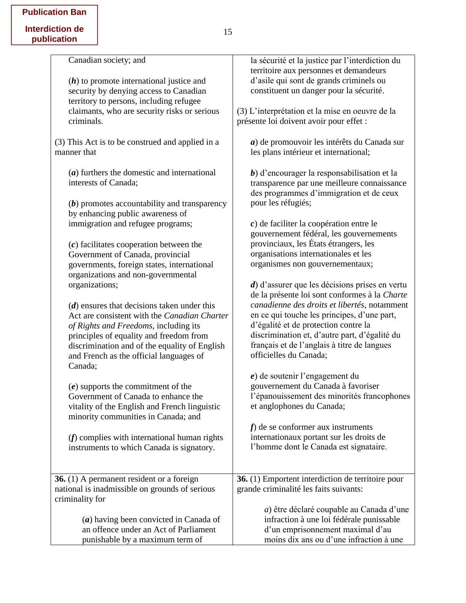| Canadian society; and                            | la sécurité et la justice par l'interdiction du   |
|--------------------------------------------------|---------------------------------------------------|
|                                                  | territoire aux personnes et demandeurs            |
| $(h)$ to promote international justice and       | d'asile qui sont de grands criminels ou           |
| security by denying access to Canadian           | constituent un danger pour la sécurité.           |
| territory to persons, including refugee          |                                                   |
| claimants, who are security risks or serious     | (3) L'interprétation et la mise en oeuvre de la   |
| criminals.                                       | présente loi doivent avoir pour effet :           |
|                                                  |                                                   |
| (3) This Act is to be construed and applied in a | a) de promouvoir les intérêts du Canada sur       |
| manner that                                      | les plans intérieur et international;             |
|                                                  |                                                   |
| $(a)$ furthers the domestic and international    | b) d'encourager la responsabilisation et la       |
| interests of Canada;                             | transparence par une meilleure connaissance       |
|                                                  | des programmes d'immigration et de ceux           |
| $(b)$ promotes accountability and transparency   | pour les réfugiés;                                |
| by enhancing public awareness of                 |                                                   |
| immigration and refugee programs;                | $c$ ) de faciliter la coopération entre le        |
|                                                  | gouvernement fédéral, les gouvernements           |
| $(c)$ facilitates cooperation between the        | provinciaux, les États étrangers, les             |
| Government of Canada, provincial                 | organisations internationales et les              |
| governments, foreign states, international       | organismes non gouvernementaux;                   |
| organizations and non-governmental               |                                                   |
| organizations;                                   | $d$ ) d'assurer que les décisions prises en vertu |
|                                                  | de la présente loi sont conformes à la Charte     |
| $(d)$ ensures that decisions taken under this    | canadienne des droits et libertés, notamment      |
| Act are consistent with the Canadian Charter     | en ce qui touche les principes, d'une part,       |
| of Rights and Freedoms, including its            | d'égalité et de protection contre la              |
| principles of equality and freedom from          | discrimination et, d'autre part, d'égalité du     |
| discrimination and of the equality of English    | français et de l'anglais à titre de langues       |
| and French as the official languages of          | officielles du Canada;                            |
| Canada;                                          |                                                   |
|                                                  | $e$ ) de soutenir l'engagement du                 |
| $(e)$ supports the commitment of the             | gouvernement du Canada à favoriser                |
| Government of Canada to enhance the              | l'épanouissement des minorités francophones       |
| vitality of the English and French linguistic    | et anglophones du Canada;                         |
| minority communities in Canada; and              |                                                   |
|                                                  | $f$ ) de se conformer aux instruments             |
| $(f)$ complies with international human rights   | internationaux portant sur les droits de          |
| instruments to which Canada is signatory.        | l'homme dont le Canada est signataire.            |
|                                                  |                                                   |
| <b>36.</b> (1) A permanent resident or a foreign | 36. (1) Emportent interdiction de territoire pour |
| national is inadmissible on grounds of serious   | grande criminalité les faits suivants:            |
| criminality for                                  |                                                   |
|                                                  | a) être déclaré coupable au Canada d'une          |
| $(a)$ having been convicted in Canada of         | infraction à une loi fédérale punissable          |
| an offence under an Act of Parliament            | d'un emprisonnement maximal d'au                  |
| punishable by a maximum term of                  | moins dix ans ou d'une infraction à une           |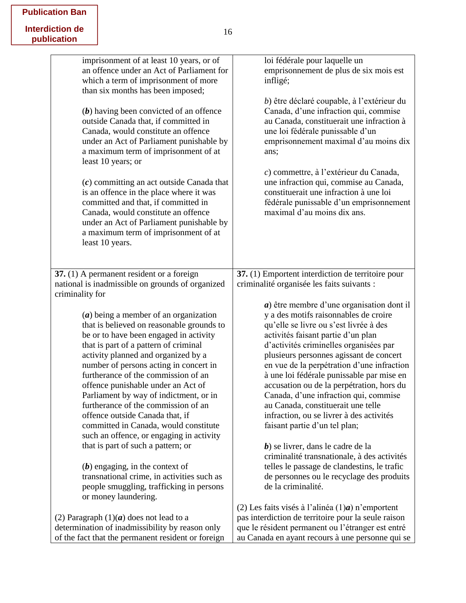| <b>Publication Ban</b> |
|------------------------|
| Interdiction de        |
| publication            |

| imprisonment of at least 10 years, or of<br>an offence under an Act of Parliament for<br>which a term of imprisonment of more<br>than six months has been imposed;<br>$(b)$ having been convicted of an offence<br>outside Canada that, if committed in<br>Canada, would constitute an offence<br>under an Act of Parliament punishable by<br>a maximum term of imprisonment of at<br>least 10 years; or<br>$(c)$ committing an act outside Canada that<br>is an offence in the place where it was<br>committed and that, if committed in<br>Canada, would constitute an offence<br>under an Act of Parliament punishable by<br>a maximum term of imprisonment of at<br>least 10 years.                                                     | loi fédérale pour laquelle un<br>emprisonnement de plus de six mois est<br>infligé;<br>b) être déclaré coupable, à l'extérieur du<br>Canada, d'une infraction qui, commise<br>au Canada, constituerait une infraction à<br>une loi fédérale punissable d'un<br>emprisonnement maximal d'au moins dix<br>ans;<br>c) commettre, à l'extérieur du Canada,<br>une infraction qui, commise au Canada,<br>constituerait une infraction à une loi<br>fédérale punissable d'un emprisonnement<br>maximal d'au moins dix ans.                                                                                                                                                                                                                                                                                                     |
|---------------------------------------------------------------------------------------------------------------------------------------------------------------------------------------------------------------------------------------------------------------------------------------------------------------------------------------------------------------------------------------------------------------------------------------------------------------------------------------------------------------------------------------------------------------------------------------------------------------------------------------------------------------------------------------------------------------------------------------------|--------------------------------------------------------------------------------------------------------------------------------------------------------------------------------------------------------------------------------------------------------------------------------------------------------------------------------------------------------------------------------------------------------------------------------------------------------------------------------------------------------------------------------------------------------------------------------------------------------------------------------------------------------------------------------------------------------------------------------------------------------------------------------------------------------------------------|
| 37. (1) A permanent resident or a foreign                                                                                                                                                                                                                                                                                                                                                                                                                                                                                                                                                                                                                                                                                                   | 37. (1) Emportent interdiction de territoire pour                                                                                                                                                                                                                                                                                                                                                                                                                                                                                                                                                                                                                                                                                                                                                                        |
| national is inadmissible on grounds of organized                                                                                                                                                                                                                                                                                                                                                                                                                                                                                                                                                                                                                                                                                            | criminalité organisée les faits suivants :                                                                                                                                                                                                                                                                                                                                                                                                                                                                                                                                                                                                                                                                                                                                                                               |
| criminality for                                                                                                                                                                                                                                                                                                                                                                                                                                                                                                                                                                                                                                                                                                                             |                                                                                                                                                                                                                                                                                                                                                                                                                                                                                                                                                                                                                                                                                                                                                                                                                          |
| $(a)$ being a member of an organization<br>that is believed on reasonable grounds to<br>be or to have been engaged in activity<br>that is part of a pattern of criminal<br>activity planned and organized by a<br>number of persons acting in concert in<br>furtherance of the commission of an<br>offence punishable under an Act of<br>Parliament by way of indictment, or in<br>furtherance of the commission of an<br>offence outside Canada that, if<br>committed in Canada, would constitute<br>such an offence, or engaging in activity<br>that is part of such a pattern; or<br>$(b)$ engaging, in the context of<br>transnational crime, in activities such as<br>people smuggling, trafficking in persons<br>or money laundering. | $a)$ être membre d'une organisation dont il<br>y a des motifs raisonnables de croire<br>qu'elle se livre ou s'est livrée à des<br>activités faisant partie d'un plan<br>d'activités criminelles organisées par<br>plusieurs personnes agissant de concert<br>en vue de la perpétration d'une infraction<br>à une loi fédérale punissable par mise en<br>accusation ou de la perpétration, hors du<br>Canada, d'une infraction qui, commise<br>au Canada, constituerait une telle<br>infraction, ou se livrer à des activités<br>faisant partie d'un tel plan;<br>b) se livrer, dans le cadre de la<br>criminalité transnationale, à des activités<br>telles le passage de clandestins, le trafic<br>de personnes ou le recyclage des produits<br>de la criminalité.<br>(2) Les faits visés à l'alinéa $(1)a$ n'emportent |
| (2) Paragraph $(1)(a)$ does not lead to a                                                                                                                                                                                                                                                                                                                                                                                                                                                                                                                                                                                                                                                                                                   | pas interdiction de territoire pour la seule raison                                                                                                                                                                                                                                                                                                                                                                                                                                                                                                                                                                                                                                                                                                                                                                      |
| determination of inadmissibility by reason only                                                                                                                                                                                                                                                                                                                                                                                                                                                                                                                                                                                                                                                                                             | que le résident permanent ou l'étranger est entré                                                                                                                                                                                                                                                                                                                                                                                                                                                                                                                                                                                                                                                                                                                                                                        |
| of the fact that the permanent resident or foreign                                                                                                                                                                                                                                                                                                                                                                                                                                                                                                                                                                                                                                                                                          | au Canada en ayant recours à une personne qui se                                                                                                                                                                                                                                                                                                                                                                                                                                                                                                                                                                                                                                                                                                                                                                         |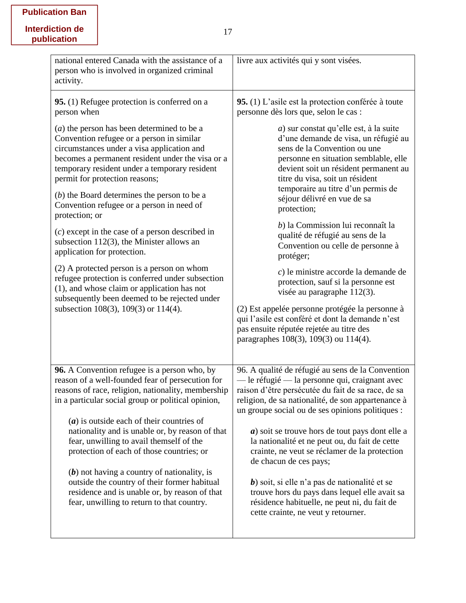|  | <b>Publication Ban</b> |  |
|--|------------------------|--|
|--|------------------------|--|

| livre aux activités qui y sont visées.                                                                                                                                                                                                                                                                                   |
|--------------------------------------------------------------------------------------------------------------------------------------------------------------------------------------------------------------------------------------------------------------------------------------------------------------------------|
| 95. (1) L'asile est la protection conférée à toute<br>personne dès lors que, selon le cas :                                                                                                                                                                                                                              |
| a) sur constat qu'elle est, à la suite<br>d'une demande de visa, un réfugié au<br>sens de la Convention ou une<br>personne en situation semblable, elle<br>devient soit un résident permanent au<br>titre du visa, soit un résident<br>temporaire au titre d'un permis de<br>séjour délivré en vue de sa<br>protection;  |
| b) la Commission lui reconnaît la<br>qualité de réfugié au sens de la<br>Convention ou celle de personne à<br>protéger;                                                                                                                                                                                                  |
| $c$ ) le ministre accorde la demande de<br>protection, sauf si la personne est<br>visée au paragraphe 112(3).<br>(2) Est appelée personne protégée la personne à<br>qui l'asile est conféré et dont la demande n'est<br>pas ensuite réputée rejetée au titre des                                                         |
| paragraphes 108(3), 109(3) ou 114(4).                                                                                                                                                                                                                                                                                    |
| 96. A qualité de réfugié au sens de la Convention<br>— le réfugié — la personne qui, craignant avec<br>raison d'être persécutée du fait de sa race, de sa<br>religion, de sa nationalité, de son appartenance à<br>un groupe social ou de ses opinions politiques :<br>$a)$ soit se trouve hors de tout pays dont elle a |
| la nationalité et ne peut ou, du fait de cette<br>crainte, ne veut se réclamer de la protection<br>de chacun de ces pays;                                                                                                                                                                                                |
| $b$ ) soit, si elle n'a pas de nationalité et se<br>trouve hors du pays dans lequel elle avait sa<br>résidence habituelle, ne peut ni, du fait de<br>cette crainte, ne veut y retourner.                                                                                                                                 |
| becomes a permanent resident under the visa or a<br>reasons of race, religion, nationality, membership                                                                                                                                                                                                                   |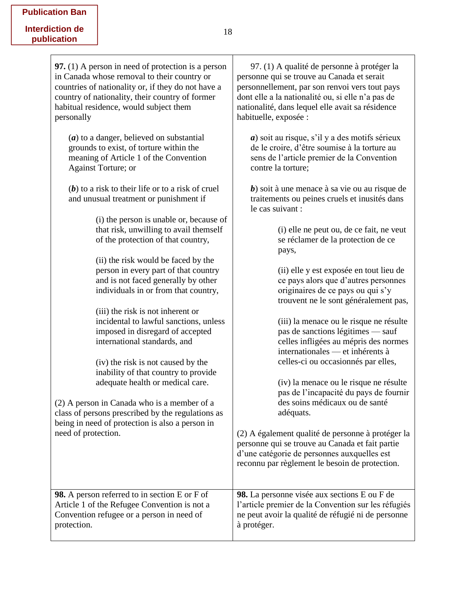| <b>97.</b> (1) A person in need of protection is a person                                     | 97. (1) A qualité de personne à protéger la                                                                                                                                                           |
|-----------------------------------------------------------------------------------------------|-------------------------------------------------------------------------------------------------------------------------------------------------------------------------------------------------------|
| in Canada whose removal to their country or                                                   | personne qui se trouve au Canada et serait                                                                                                                                                            |
| countries of nationality or, if they do not have a                                            | personnellement, par son renvoi vers tout pays                                                                                                                                                        |
| country of nationality, their country of former                                               | dont elle a la nationalité ou, si elle n'a pas de                                                                                                                                                     |
| habitual residence, would subject them                                                        | nationalité, dans lequel elle avait sa résidence                                                                                                                                                      |
| personally                                                                                    | habituelle, exposée :                                                                                                                                                                                 |
| $(a)$ to a danger, believed on substantial                                                    | $a$ ) soit au risque, s'il y a des motifs sérieux                                                                                                                                                     |
| grounds to exist, of torture within the                                                       | de le croire, d'être soumise à la torture au                                                                                                                                                          |
| meaning of Article 1 of the Convention                                                        | sens de l'article premier de la Convention                                                                                                                                                            |
| <b>Against Torture; or</b>                                                                    | contre la torture;                                                                                                                                                                                    |
| $(b)$ to a risk to their life or to a risk of cruel<br>and unusual treatment or punishment if | $b$ ) soit à une menace à sa vie ou au risque de<br>traitements ou peines cruels et inusités dans<br>le cas suivant :                                                                                 |
| (i) the person is unable or, because of                                                       | (i) elle ne peut ou, de ce fait, ne veut                                                                                                                                                              |
| that risk, unwilling to avail themself                                                        | se réclamer de la protection de ce                                                                                                                                                                    |
| of the protection of that country,                                                            | pays,                                                                                                                                                                                                 |
| (ii) the risk would be faced by the                                                           | (ii) elle y est exposée en tout lieu de                                                                                                                                                               |
| person in every part of that country                                                          | ce pays alors que d'autres personnes                                                                                                                                                                  |
| and is not faced generally by other                                                           | originaires de ce pays ou qui s'y                                                                                                                                                                     |
| individuals in or from that country,                                                          | trouvent ne le sont généralement pas,                                                                                                                                                                 |
| (iii) the risk is not inherent or                                                             | (iii) la menace ou le risque ne résulte                                                                                                                                                               |
| incidental to lawful sanctions, unless                                                        | pas de sanctions légitimes — sauf                                                                                                                                                                     |
| imposed in disregard of accepted                                                              | celles infligées au mépris des normes                                                                                                                                                                 |
| international standards, and                                                                  | internationales — et inhérents à                                                                                                                                                                      |
| (iv) the risk is not caused by the                                                            | celles-ci ou occasionnés par elles,                                                                                                                                                                   |
| inability of that country to provide                                                          | (iv) la menace ou le risque ne résulte                                                                                                                                                                |
| adequate health or medical care.                                                              | pas de l'incapacité du pays de fournir                                                                                                                                                                |
| (2) A person in Canada who is a member of a                                                   | des soins médicaux ou de santé                                                                                                                                                                        |
| class of persons prescribed by the regulations as                                             | adéquats.                                                                                                                                                                                             |
| being in need of protection is also a person in<br>need of protection.                        | (2) A également qualité de personne à protéger la<br>personne qui se trouve au Canada et fait partie<br>d'une catégorie de personnes auxquelles est<br>reconnu par règlement le besoin de protection. |
| <b>98.</b> A person referred to in section E or F of                                          | 98. La personne visée aux sections E ou F de                                                                                                                                                          |
| Article 1 of the Refugee Convention is not a                                                  | l'article premier de la Convention sur les réfugiés                                                                                                                                                   |
| Convention refugee or a person in need of                                                     | ne peut avoir la qualité de réfugié ni de personne                                                                                                                                                    |
| protection.                                                                                   | à protéger.                                                                                                                                                                                           |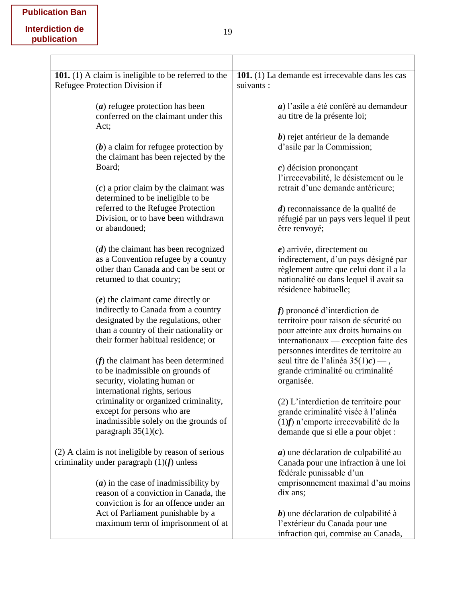| 101. (1) A claim is ineligible to be referred to the                             | 101. (1) La demande est irrecevable dans les cas                            |
|----------------------------------------------------------------------------------|-----------------------------------------------------------------------------|
| Refugee Protection Division if                                                   | suivants :                                                                  |
| $(a)$ refugee protection has been                                                | $a)$ l'asile a été conféré au demandeur                                     |
| conferred on the claimant under this<br>Act;                                     | au titre de la présente loi;                                                |
|                                                                                  | $b$ ) rejet antérieur de la demande                                         |
| $(b)$ a claim for refugee protection by<br>the claimant has been rejected by the | d'asile par la Commission;                                                  |
| Board;                                                                           | $c$ ) décision prononçant                                                   |
|                                                                                  | l'irrecevabilité, le désistement ou le                                      |
| $(c)$ a prior claim by the claimant was<br>determined to be ineligible to be     | retrait d'une demande antérieure;                                           |
| referred to the Refugee Protection                                               | $d$ ) reconnaissance de la qualité de                                       |
| Division, or to have been withdrawn                                              | réfugié par un pays vers lequel il peut                                     |
| or abandoned;                                                                    | être renvoyé;                                                               |
| $(d)$ the claimant has been recognized                                           | $e$ ) arrivée, directement ou                                               |
| as a Convention refugee by a country                                             | indirectement, d'un pays désigné par                                        |
| other than Canada and can be sent or                                             | règlement autre que celui dont il a la                                      |
| returned to that country;                                                        | nationalité ou dans lequel il avait sa<br>résidence habituelle;             |
| $(e)$ the claimant came directly or                                              |                                                                             |
| indirectly to Canada from a country                                              | f) prononcé d'interdiction de                                               |
| designated by the regulations, other                                             | territoire pour raison de sécurité ou                                       |
| than a country of their nationality or<br>their former habitual residence; or    | pour atteinte aux droits humains ou<br>internationaux — exception faite des |
|                                                                                  | personnes interdites de territoire au                                       |
| $(f)$ the claimant has been determined                                           | seul titre de l'alinéa $35(1)c$ ) — ,                                       |
| to be inadmissible on grounds of                                                 | grande criminalité ou criminalité                                           |
| security, violating human or                                                     | organisée.                                                                  |
| international rights, serious                                                    |                                                                             |
| criminality or organized criminality,                                            | (2) L'interdiction de territoire pour                                       |
| except for persons who are                                                       | grande criminalité visée à l'alinéa                                         |
| inadmissible solely on the grounds of                                            | $(1)$ f) n'emporte irrecevabilité de la                                     |
| paragraph $35(1)(c)$ .                                                           | demande que si elle a pour objet :                                          |
| (2) A claim is not ineligible by reason of serious                               | $a)$ une déclaration de culpabilité au                                      |
| criminality under paragraph $(1)(f)$ unless                                      | Canada pour une infraction à une loi<br>fédérale punissable d'un            |
| $(a)$ in the case of inadmissibility by                                          | emprisonnement maximal d'au moins                                           |
| reason of a conviction in Canada, the                                            | dix ans;                                                                    |
| conviction is for an offence under an                                            |                                                                             |
| Act of Parliament punishable by a                                                | $b$ ) une déclaration de culpabilité à                                      |
| maximum term of imprisonment of at                                               | l'extérieur du Canada pour une                                              |
|                                                                                  | infraction qui, commise au Canada,                                          |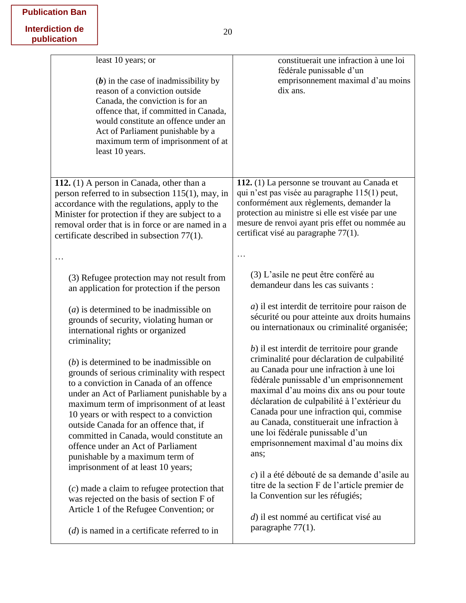## **Publication Ban**

| least 10 years; or<br>$(b)$ in the case of inadmissibility by<br>reason of a conviction outside<br>Canada, the conviction is for an<br>offence that, if committed in Canada,<br>would constitute an offence under an<br>Act of Parliament punishable by a<br>maximum term of imprisonment of at<br>least 10 years.                                                                                                                                                                                                                                                                                                                                                                                                                                                                                                                                                                                                  | constituerait une infraction à une loi<br>fédérale punissable d'un<br>emprisonnement maximal d'au moins<br>dix ans.                                                                                                                                                                                                                                                                                                                                                                                                                                                                                                                                                                                                                                                                                                                                                                          |
|---------------------------------------------------------------------------------------------------------------------------------------------------------------------------------------------------------------------------------------------------------------------------------------------------------------------------------------------------------------------------------------------------------------------------------------------------------------------------------------------------------------------------------------------------------------------------------------------------------------------------------------------------------------------------------------------------------------------------------------------------------------------------------------------------------------------------------------------------------------------------------------------------------------------|----------------------------------------------------------------------------------------------------------------------------------------------------------------------------------------------------------------------------------------------------------------------------------------------------------------------------------------------------------------------------------------------------------------------------------------------------------------------------------------------------------------------------------------------------------------------------------------------------------------------------------------------------------------------------------------------------------------------------------------------------------------------------------------------------------------------------------------------------------------------------------------------|
| 112. $(1)$ A person in Canada, other than a<br>person referred to in subsection $115(1)$ , may, in<br>accordance with the regulations, apply to the<br>Minister for protection if they are subject to a<br>removal order that is in force or are named in a<br>certificate described in subsection 77(1).<br>.                                                                                                                                                                                                                                                                                                                                                                                                                                                                                                                                                                                                      | 112. (1) La personne se trouvant au Canada et<br>qui n'est pas visée au paragraphe 115(1) peut,<br>conformément aux règlements, demander la<br>protection au ministre si elle est visée par une<br>mesure de renvoi ayant pris effet ou nommée au<br>certificat visé au paragraphe 77(1).                                                                                                                                                                                                                                                                                                                                                                                                                                                                                                                                                                                                    |
| (3) Refugee protection may not result from<br>an application for protection if the person<br>$(a)$ is determined to be inadmissible on<br>grounds of security, violating human or<br>international rights or organized<br>criminality;<br>$(b)$ is determined to be inadmissible on<br>grounds of serious criminality with respect<br>to a conviction in Canada of an offence<br>under an Act of Parliament punishable by a<br>maximum term of imprisonment of at least<br>10 years or with respect to a conviction<br>outside Canada for an offence that, if<br>committed in Canada, would constitute an<br>offence under an Act of Parliament<br>punishable by a maximum term of<br>imprisonment of at least 10 years;<br>$(c)$ made a claim to refugee protection that<br>was rejected on the basis of section F of<br>Article 1 of the Refugee Convention; or<br>$(d)$ is named in a certificate referred to in | (3) L'asile ne peut être conféré au<br>demandeur dans les cas suivants :<br>a) il est interdit de territoire pour raison de<br>sécurité ou pour atteinte aux droits humains<br>ou internationaux ou criminalité organisée;<br>b) il est interdit de territoire pour grande<br>criminalité pour déclaration de culpabilité<br>au Canada pour une infraction à une loi<br>fédérale punissable d'un emprisonnement<br>maximal d'au moins dix ans ou pour toute<br>déclaration de culpabilité à l'extérieur du<br>Canada pour une infraction qui, commise<br>au Canada, constituerait une infraction à<br>une loi fédérale punissable d'un<br>emprisonnement maximal d'au moins dix<br>ans;<br>c) il a été débouté de sa demande d'asile au<br>titre de la section F de l'article premier de<br>la Convention sur les réfugiés;<br>d) il est nommé au certificat visé au<br>paragraphe $77(1)$ . |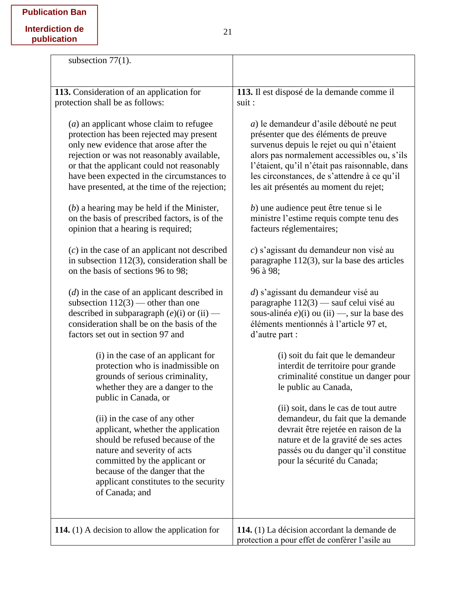| subsection $77(1)$ .                                                                                                                                                                                                                                                                                                                                                                                                                                                                                                                                                                                                                                                                                                                                                                                                                                                                                                                                                                                                                                                                                                                                                                                                                                                                             |                                                                                                                                                                                                                                                                                                                                                                                                                                                                                                                                                                                                                                                                                                                                                                                                                                                                                                                                                                                                                                                                                                                             |
|--------------------------------------------------------------------------------------------------------------------------------------------------------------------------------------------------------------------------------------------------------------------------------------------------------------------------------------------------------------------------------------------------------------------------------------------------------------------------------------------------------------------------------------------------------------------------------------------------------------------------------------------------------------------------------------------------------------------------------------------------------------------------------------------------------------------------------------------------------------------------------------------------------------------------------------------------------------------------------------------------------------------------------------------------------------------------------------------------------------------------------------------------------------------------------------------------------------------------------------------------------------------------------------------------|-----------------------------------------------------------------------------------------------------------------------------------------------------------------------------------------------------------------------------------------------------------------------------------------------------------------------------------------------------------------------------------------------------------------------------------------------------------------------------------------------------------------------------------------------------------------------------------------------------------------------------------------------------------------------------------------------------------------------------------------------------------------------------------------------------------------------------------------------------------------------------------------------------------------------------------------------------------------------------------------------------------------------------------------------------------------------------------------------------------------------------|
| 113. Consideration of an application for                                                                                                                                                                                                                                                                                                                                                                                                                                                                                                                                                                                                                                                                                                                                                                                                                                                                                                                                                                                                                                                                                                                                                                                                                                                         | 113. Il est disposé de la demande comme il                                                                                                                                                                                                                                                                                                                                                                                                                                                                                                                                                                                                                                                                                                                                                                                                                                                                                                                                                                                                                                                                                  |
| protection shall be as follows:                                                                                                                                                                                                                                                                                                                                                                                                                                                                                                                                                                                                                                                                                                                                                                                                                                                                                                                                                                                                                                                                                                                                                                                                                                                                  | suit :                                                                                                                                                                                                                                                                                                                                                                                                                                                                                                                                                                                                                                                                                                                                                                                                                                                                                                                                                                                                                                                                                                                      |
| $(a)$ an applicant whose claim to refugee<br>protection has been rejected may present<br>only new evidence that arose after the<br>rejection or was not reasonably available,<br>or that the applicant could not reasonably<br>have been expected in the circumstances to<br>have presented, at the time of the rejection;<br>$(b)$ a hearing may be held if the Minister,<br>on the basis of prescribed factors, is of the<br>opinion that a hearing is required;<br>$(c)$ in the case of an applicant not described<br>in subsection $112(3)$ , consideration shall be<br>on the basis of sections 96 to 98;<br>$(d)$ in the case of an applicant described in<br>subsection $112(3)$ — other than one<br>described in subparagraph $(e)(i)$ or $(ii)$ —<br>consideration shall be on the basis of the<br>factors set out in section 97 and<br>(i) in the case of an applicant for<br>protection who is inadmissible on<br>grounds of serious criminality,<br>whether they are a danger to the<br>public in Canada, or<br>(ii) in the case of any other<br>applicant, whether the application<br>should be refused because of the<br>nature and severity of acts<br>committed by the applicant or<br>because of the danger that the<br>applicant constitutes to the security<br>of Canada; and | a) le demandeur d'asile débouté ne peut<br>présenter que des éléments de preuve<br>survenus depuis le rejet ou qui n'étaient<br>alors pas normalement accessibles ou, s'ils<br>l'étaient, qu'il n'était pas raisonnable, dans<br>les circonstances, de s'attendre à ce qu'il<br>les ait présentés au moment du rejet;<br>b) une audience peut être tenue si le<br>ministre l'estime requis compte tenu des<br>facteurs réglementaires;<br>c) s'agissant du demandeur non visé au<br>paragraphe $112(3)$ , sur la base des articles<br>96 à 98:<br>d) s'agissant du demandeur visé au<br>paragraphe 112(3) — sauf celui visé au<br>sous-alinéa $e$ )(i) ou (ii) —, sur la base des<br>éléments mentionnés à l'article 97 et,<br>d'autre part :<br>(i) soit du fait que le demandeur<br>interdit de territoire pour grande<br>criminalité constitue un danger pour<br>le public au Canada,<br>(ii) soit, dans le cas de tout autre<br>demandeur, du fait que la demande<br>devrait être rejetée en raison de la<br>nature et de la gravité de ses actes<br>passés ou du danger qu'il constitue<br>pour la sécurité du Canada; |
| 114. $(1)$ A decision to allow the application for                                                                                                                                                                                                                                                                                                                                                                                                                                                                                                                                                                                                                                                                                                                                                                                                                                                                                                                                                                                                                                                                                                                                                                                                                                               | 114. (1) La décision accordant la demande de<br>protection a pour effet de conférer l'asile au                                                                                                                                                                                                                                                                                                                                                                                                                                                                                                                                                                                                                                                                                                                                                                                                                                                                                                                                                                                                                              |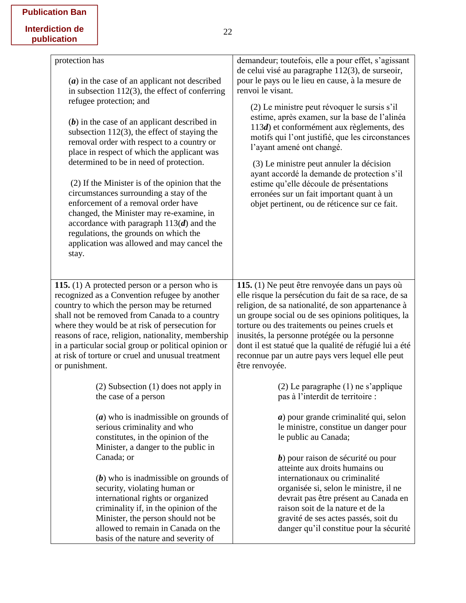|  | <b>Publication Ban</b> |  |
|--|------------------------|--|
|--|------------------------|--|

| protection has<br>$(a)$ in the case of an applicant not described<br>in subsection $112(3)$ , the effect of conferring<br>refugee protection; and<br>$(b)$ in the case of an applicant described in<br>subsection $112(3)$ , the effect of staying the<br>removal order with respect to a country or<br>place in respect of which the applicant was<br>determined to be in need of protection.<br>(2) If the Minister is of the opinion that the<br>circumstances surrounding a stay of the<br>enforcement of a removal order have<br>changed, the Minister may re-examine, in<br>accordance with paragraph $113(d)$ and the<br>regulations, the grounds on which the<br>application was allowed and may cancel the<br>stay. | demandeur; toutefois, elle a pour effet, s'agissant<br>de celui visé au paragraphe 112(3), de surseoir,<br>pour le pays ou le lieu en cause, à la mesure de<br>renvoi le visant.<br>(2) Le ministre peut révoquer le sursis s'il<br>estime, après examen, sur la base de l'alinéa<br>113d) et conformément aux règlements, des<br>motifs qui l'ont justifié, que les circonstances<br>l'ayant amené ont changé.<br>(3) Le ministre peut annuler la décision<br>ayant accordé la demande de protection s'il<br>estime qu'elle découle de présentations<br>erronées sur un fait important quant à un<br>objet pertinent, ou de réticence sur ce fait. |
|------------------------------------------------------------------------------------------------------------------------------------------------------------------------------------------------------------------------------------------------------------------------------------------------------------------------------------------------------------------------------------------------------------------------------------------------------------------------------------------------------------------------------------------------------------------------------------------------------------------------------------------------------------------------------------------------------------------------------|-----------------------------------------------------------------------------------------------------------------------------------------------------------------------------------------------------------------------------------------------------------------------------------------------------------------------------------------------------------------------------------------------------------------------------------------------------------------------------------------------------------------------------------------------------------------------------------------------------------------------------------------------------|
| 115. (1) A protected person or a person who is                                                                                                                                                                                                                                                                                                                                                                                                                                                                                                                                                                                                                                                                               | 115. (1) Ne peut être renvoyée dans un pays où                                                                                                                                                                                                                                                                                                                                                                                                                                                                                                                                                                                                      |
| recognized as a Convention refugee by another                                                                                                                                                                                                                                                                                                                                                                                                                                                                                                                                                                                                                                                                                | elle risque la persécution du fait de sa race, de sa                                                                                                                                                                                                                                                                                                                                                                                                                                                                                                                                                                                                |
| country to which the person may be returned                                                                                                                                                                                                                                                                                                                                                                                                                                                                                                                                                                                                                                                                                  | religion, de sa nationalité, de son appartenance à                                                                                                                                                                                                                                                                                                                                                                                                                                                                                                                                                                                                  |
| shall not be removed from Canada to a country                                                                                                                                                                                                                                                                                                                                                                                                                                                                                                                                                                                                                                                                                | un groupe social ou de ses opinions politiques, la                                                                                                                                                                                                                                                                                                                                                                                                                                                                                                                                                                                                  |
| where they would be at risk of persecution for                                                                                                                                                                                                                                                                                                                                                                                                                                                                                                                                                                                                                                                                               | torture ou des traitements ou peines cruels et                                                                                                                                                                                                                                                                                                                                                                                                                                                                                                                                                                                                      |
| reasons of race, religion, nationality, membership                                                                                                                                                                                                                                                                                                                                                                                                                                                                                                                                                                                                                                                                           | inusités, la personne protégée ou la personne                                                                                                                                                                                                                                                                                                                                                                                                                                                                                                                                                                                                       |
| in a particular social group or political opinion or                                                                                                                                                                                                                                                                                                                                                                                                                                                                                                                                                                                                                                                                         | dont il est statué que la qualité de réfugié lui a été                                                                                                                                                                                                                                                                                                                                                                                                                                                                                                                                                                                              |
| at risk of torture or cruel and unusual treatment                                                                                                                                                                                                                                                                                                                                                                                                                                                                                                                                                                                                                                                                            | reconnue par un autre pays vers lequel elle peut                                                                                                                                                                                                                                                                                                                                                                                                                                                                                                                                                                                                    |
| or punishment.                                                                                                                                                                                                                                                                                                                                                                                                                                                                                                                                                                                                                                                                                                               | être renvoyée.                                                                                                                                                                                                                                                                                                                                                                                                                                                                                                                                                                                                                                      |
| $(2)$ Subsection $(1)$ does not apply in<br>the case of a person<br>$(a)$ who is inadmissible on grounds of<br>serious criminality and who<br>constitutes, in the opinion of the<br>Minister, a danger to the public in<br>Canada; or                                                                                                                                                                                                                                                                                                                                                                                                                                                                                        | $(2)$ Le paragraphe $(1)$ ne s'applique<br>pas à l'interdit de territoire :<br>$a)$ pour grande criminalité qui, selon<br>le ministre, constitue un danger pour<br>le public au Canada;<br>$b$ ) pour raison de sécurité ou pour                                                                                                                                                                                                                                                                                                                                                                                                                    |
| $(b)$ who is inadmissible on grounds of                                                                                                                                                                                                                                                                                                                                                                                                                                                                                                                                                                                                                                                                                      | atteinte aux droits humains ou                                                                                                                                                                                                                                                                                                                                                                                                                                                                                                                                                                                                                      |
| security, violating human or                                                                                                                                                                                                                                                                                                                                                                                                                                                                                                                                                                                                                                                                                                 | internationaux ou criminalité                                                                                                                                                                                                                                                                                                                                                                                                                                                                                                                                                                                                                       |
| international rights or organized                                                                                                                                                                                                                                                                                                                                                                                                                                                                                                                                                                                                                                                                                            | organisée si, selon le ministre, il ne                                                                                                                                                                                                                                                                                                                                                                                                                                                                                                                                                                                                              |
| criminality if, in the opinion of the                                                                                                                                                                                                                                                                                                                                                                                                                                                                                                                                                                                                                                                                                        | devrait pas être présent au Canada en                                                                                                                                                                                                                                                                                                                                                                                                                                                                                                                                                                                                               |
| Minister, the person should not be                                                                                                                                                                                                                                                                                                                                                                                                                                                                                                                                                                                                                                                                                           | raison soit de la nature et de la                                                                                                                                                                                                                                                                                                                                                                                                                                                                                                                                                                                                                   |
| allowed to remain in Canada on the                                                                                                                                                                                                                                                                                                                                                                                                                                                                                                                                                                                                                                                                                           | gravité de ses actes passés, soit du                                                                                                                                                                                                                                                                                                                                                                                                                                                                                                                                                                                                                |
| basis of the nature and severity of                                                                                                                                                                                                                                                                                                                                                                                                                                                                                                                                                                                                                                                                                          | danger qu'il constitue pour la sécurité                                                                                                                                                                                                                                                                                                                                                                                                                                                                                                                                                                                                             |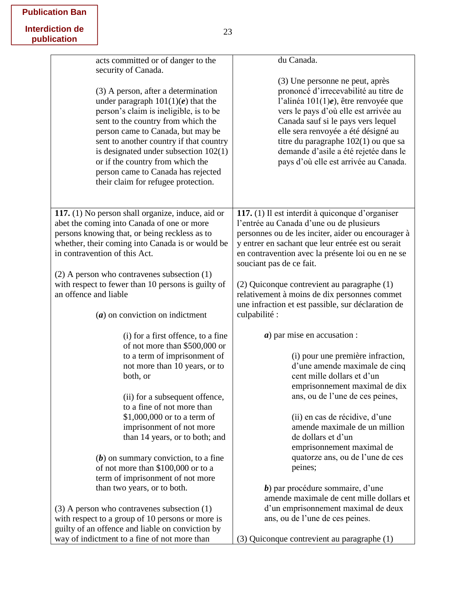|  | <b>Publication Ban</b> |  |
|--|------------------------|--|
|--|------------------------|--|

| acts committed or of danger to the                                                                                                                                                                                                                                                                                                                                                                                             | du Canada.                                                                                                                                                                                                                                                                                                                                                         |
|--------------------------------------------------------------------------------------------------------------------------------------------------------------------------------------------------------------------------------------------------------------------------------------------------------------------------------------------------------------------------------------------------------------------------------|--------------------------------------------------------------------------------------------------------------------------------------------------------------------------------------------------------------------------------------------------------------------------------------------------------------------------------------------------------------------|
| security of Canada.<br>(3) A person, after a determination<br>under paragraph $101(1)(e)$ that the<br>person's claim is ineligible, is to be<br>sent to the country from which the<br>person came to Canada, but may be<br>sent to another country if that country<br>is designated under subsection $102(1)$<br>or if the country from which the<br>person came to Canada has rejected<br>their claim for refugee protection. | (3) Une personne ne peut, après<br>prononcé d'irrecevabilité au titre de<br>l'alinéa $101(1)e$ , être renvoyée que<br>vers le pays d'où elle est arrivée au<br>Canada sauf si le pays vers lequel<br>elle sera renvoyée a été désigné au<br>titre du paragraphe 102(1) ou que sa<br>demande d'asile a été rejetée dans le<br>pays d'où elle est arrivée au Canada. |
| 117. (1) No person shall organize, induce, aid or                                                                                                                                                                                                                                                                                                                                                                              | 117. (1) Il est interdit à quiconque d'organiser                                                                                                                                                                                                                                                                                                                   |
| abet the coming into Canada of one or more                                                                                                                                                                                                                                                                                                                                                                                     | l'entrée au Canada d'une ou de plusieurs                                                                                                                                                                                                                                                                                                                           |
| persons knowing that, or being reckless as to                                                                                                                                                                                                                                                                                                                                                                                  | personnes ou de les inciter, aider ou encourager à                                                                                                                                                                                                                                                                                                                 |
| whether, their coming into Canada is or would be                                                                                                                                                                                                                                                                                                                                                                               | y entrer en sachant que leur entrée est ou serait                                                                                                                                                                                                                                                                                                                  |
| in contravention of this Act.                                                                                                                                                                                                                                                                                                                                                                                                  | en contravention avec la présente loi ou en ne se<br>souciant pas de ce fait.                                                                                                                                                                                                                                                                                      |
| $(2)$ A person who contravenes subsection $(1)$                                                                                                                                                                                                                                                                                                                                                                                |                                                                                                                                                                                                                                                                                                                                                                    |
| with respect to fewer than 10 persons is guilty of                                                                                                                                                                                                                                                                                                                                                                             | (2) Quiconque contrevient au paragraphe (1)                                                                                                                                                                                                                                                                                                                        |
| an offence and liable                                                                                                                                                                                                                                                                                                                                                                                                          | relativement à moins de dix personnes commet                                                                                                                                                                                                                                                                                                                       |
|                                                                                                                                                                                                                                                                                                                                                                                                                                | une infraction et est passible, sur déclaration de                                                                                                                                                                                                                                                                                                                 |
| $(a)$ on conviction on indictment                                                                                                                                                                                                                                                                                                                                                                                              | culpabilité :                                                                                                                                                                                                                                                                                                                                                      |
| (i) for a first offence, to a fine                                                                                                                                                                                                                                                                                                                                                                                             | $a)$ par mise en accusation :                                                                                                                                                                                                                                                                                                                                      |
| of not more than \$500,000 or                                                                                                                                                                                                                                                                                                                                                                                                  |                                                                                                                                                                                                                                                                                                                                                                    |
| to a term of imprisonment of                                                                                                                                                                                                                                                                                                                                                                                                   | (i) pour une première infraction,                                                                                                                                                                                                                                                                                                                                  |
| not more than 10 years, or to                                                                                                                                                                                                                                                                                                                                                                                                  | d'une amende maximale de cinq                                                                                                                                                                                                                                                                                                                                      |
| both, or                                                                                                                                                                                                                                                                                                                                                                                                                       | cent mille dollars et d'un                                                                                                                                                                                                                                                                                                                                         |
|                                                                                                                                                                                                                                                                                                                                                                                                                                | emprisonnement maximal de dix                                                                                                                                                                                                                                                                                                                                      |
| (ii) for a subsequent offence,                                                                                                                                                                                                                                                                                                                                                                                                 | ans, ou de l'une de ces peines,                                                                                                                                                                                                                                                                                                                                    |
| to a fine of not more than                                                                                                                                                                                                                                                                                                                                                                                                     |                                                                                                                                                                                                                                                                                                                                                                    |
| \$1,000,000 or to a term of                                                                                                                                                                                                                                                                                                                                                                                                    | (ii) en cas de récidive, d'une                                                                                                                                                                                                                                                                                                                                     |
| imprisonment of not more<br>than 14 years, or to both; and                                                                                                                                                                                                                                                                                                                                                                     | amende maximale de un million<br>de dollars et d'un                                                                                                                                                                                                                                                                                                                |
|                                                                                                                                                                                                                                                                                                                                                                                                                                | emprisonnement maximal de                                                                                                                                                                                                                                                                                                                                          |
| $(b)$ on summary conviction, to a fine                                                                                                                                                                                                                                                                                                                                                                                         | quatorze ans, ou de l'une de ces                                                                                                                                                                                                                                                                                                                                   |
| of not more than \$100,000 or to a                                                                                                                                                                                                                                                                                                                                                                                             | peines;                                                                                                                                                                                                                                                                                                                                                            |
| term of imprisonment of not more                                                                                                                                                                                                                                                                                                                                                                                               |                                                                                                                                                                                                                                                                                                                                                                    |
| than two years, or to both.                                                                                                                                                                                                                                                                                                                                                                                                    | $b$ ) par procédure sommaire, d'une                                                                                                                                                                                                                                                                                                                                |
|                                                                                                                                                                                                                                                                                                                                                                                                                                | amende maximale de cent mille dollars et                                                                                                                                                                                                                                                                                                                           |
| $(3)$ A person who contravenes subsection $(1)$                                                                                                                                                                                                                                                                                                                                                                                | d'un emprisonnement maximal de deux                                                                                                                                                                                                                                                                                                                                |
| with respect to a group of 10 persons or more is                                                                                                                                                                                                                                                                                                                                                                               | ans, ou de l'une de ces peines.                                                                                                                                                                                                                                                                                                                                    |
| guilty of an offence and liable on conviction by                                                                                                                                                                                                                                                                                                                                                                               |                                                                                                                                                                                                                                                                                                                                                                    |
| way of indictment to a fine of not more than                                                                                                                                                                                                                                                                                                                                                                                   | (3) Quiconque contrevient au paragraphe (1)                                                                                                                                                                                                                                                                                                                        |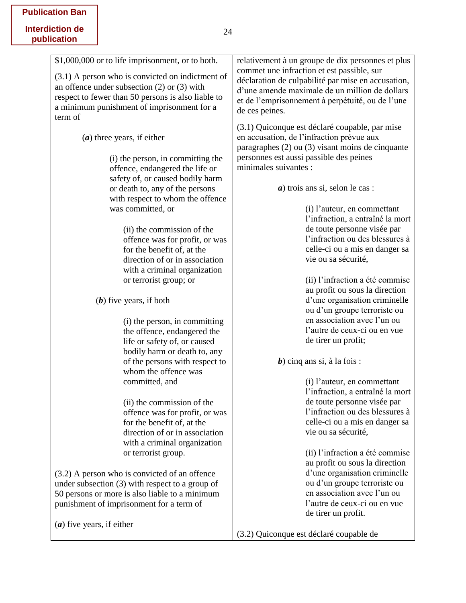|  | <b>Publication Ban</b> |  |
|--|------------------------|--|
|--|------------------------|--|

| \$1,000,000 or to life imprisonment, or to both.   | relativement à un groupe de dix personnes et plus                                                                                                   |
|----------------------------------------------------|-----------------------------------------------------------------------------------------------------------------------------------------------------|
| $(3.1)$ A person who is convicted on indictment of | commet une infraction et est passible, sur                                                                                                          |
| an offence under subsection $(2)$ or $(3)$ with    | déclaration de culpabilité par mise en accusation,<br>d'une amende maximale de un million de dollars                                                |
| respect to fewer than 50 persons is also liable to | et de l'emprisonnement à perpétuité, ou de l'une                                                                                                    |
| a minimum punishment of imprisonment for a         | de ces peines.                                                                                                                                      |
| term of                                            |                                                                                                                                                     |
| $(a)$ three years, if either                       | (3.1) Quiconque est déclaré coupable, par mise<br>en accusation, de l'infraction prévue aux<br>paragraphes $(2)$ ou $(3)$ visant moins de cinquante |
| (i) the person, in committing the                  | personnes est aussi passible des peines                                                                                                             |
| offence, endangered the life or                    | minimales suivantes :                                                                                                                               |
| safety of, or caused bodily harm                   |                                                                                                                                                     |
| or death to, any of the persons                    | $a)$ trois ans si, selon le cas :                                                                                                                   |
| with respect to whom the offence                   |                                                                                                                                                     |
| was committed, or                                  | (i) l'auteur, en commettant                                                                                                                         |
|                                                    | l'infraction, a entraîné la mort                                                                                                                    |
| (ii) the commission of the                         | de toute personne visée par                                                                                                                         |
| offence was for profit, or was                     | l'infraction ou des blessures à                                                                                                                     |
| for the benefit of, at the                         | celle-ci ou a mis en danger sa                                                                                                                      |
| direction of or in association                     | vie ou sa sécurité,                                                                                                                                 |
| with a criminal organization                       |                                                                                                                                                     |
| or terrorist group; or                             | (ii) l'infraction a été commise                                                                                                                     |
|                                                    | au profit ou sous la direction<br>d'une organisation criminelle                                                                                     |
| $(b)$ five years, if both                          | ou d'un groupe terroriste ou                                                                                                                        |
| (i) the person, in committing                      | en association avec l'un ou                                                                                                                         |
| the offence, endangered the                        | l'autre de ceux-ci ou en vue                                                                                                                        |
| life or safety of, or caused                       | de tirer un profit;                                                                                                                                 |
| bodily harm or death to, any                       |                                                                                                                                                     |
| of the persons with respect to                     | $b$ ) cinq ans si, à la fois :                                                                                                                      |
| whom the offence was                               |                                                                                                                                                     |
| committed, and                                     | (i) l'auteur, en commettant                                                                                                                         |
|                                                    | l'infraction, a entraîné la mort                                                                                                                    |
| (ii) the commission of the                         | de toute personne visée par                                                                                                                         |
| offence was for profit, or was                     | l'infraction ou des blessures à                                                                                                                     |
| for the benefit of, at the                         | celle-ci ou a mis en danger sa                                                                                                                      |
| direction of or in association                     | vie ou sa sécurité,                                                                                                                                 |
| with a criminal organization                       |                                                                                                                                                     |
| or terrorist group.                                | (ii) l'infraction a été commise                                                                                                                     |
|                                                    | au profit ou sous la direction                                                                                                                      |
| $(3.2)$ A person who is convicted of an offence    | d'une organisation criminelle                                                                                                                       |
| under subsection $(3)$ with respect to a group of  | ou d'un groupe terroriste ou                                                                                                                        |
| 50 persons or more is also liable to a minimum     | en association avec l'un ou                                                                                                                         |
| punishment of imprisonment for a term of           | l'autre de ceux-ci ou en vue                                                                                                                        |
|                                                    | de tirer un profit.                                                                                                                                 |
| $(a)$ five years, if either                        |                                                                                                                                                     |

(3.2) Quiconque est déclaré coupable de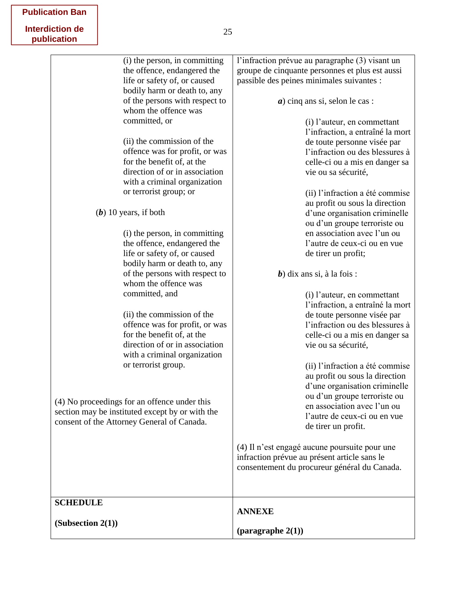|  |  |  | <b>Publication Ban</b> |
|--|--|--|------------------------|
|--|--|--|------------------------|

| (i) the person, in committing<br>the offence, endangered the<br>life or safety of, or caused<br>bodily harm or death to, any<br>of the persons with respect to<br>whom the offence was<br>committed, or<br>(ii) the commission of the<br>offence was for profit, or was<br>for the benefit of, at the<br>direction of or in association<br>with a criminal organization<br>or terrorist group; or<br>$(b)$ 10 years, if both<br>(i) the person, in committing<br>the offence, endangered the<br>life or safety of, or caused<br>bodily harm or death to, any<br>of the persons with respect to<br>whom the offence was<br>committed, and<br>(ii) the commission of the<br>offence was for profit, or was<br>for the benefit of, at the<br>direction of or in association | l'infraction prévue au paragraphe (3) visant un<br>groupe de cinquante personnes et plus est aussi<br>passible des peines minimales suivantes :<br>$a)$ cinq ans si, selon le cas :<br>(i) l'auteur, en commettant<br>l'infraction, a entraîné la mort<br>de toute personne visée par<br>l'infraction ou des blessures à<br>celle-ci ou a mis en danger sa<br>vie ou sa sécurité,<br>(ii) l'infraction a été commise<br>au profit ou sous la direction<br>d'une organisation criminelle<br>ou d'un groupe terroriste ou<br>en association avec l'un ou<br>l'autre de ceux-ci ou en vue<br>de tirer un profit;<br>$b$ ) dix ans si, à la fois :<br>(i) l'auteur, en commettant<br>l'infraction, a entraîné la mort<br>de toute personne visée par<br>l'infraction ou des blessures à<br>celle-ci ou a mis en danger sa<br>vie ou sa sécurité, |
|--------------------------------------------------------------------------------------------------------------------------------------------------------------------------------------------------------------------------------------------------------------------------------------------------------------------------------------------------------------------------------------------------------------------------------------------------------------------------------------------------------------------------------------------------------------------------------------------------------------------------------------------------------------------------------------------------------------------------------------------------------------------------|----------------------------------------------------------------------------------------------------------------------------------------------------------------------------------------------------------------------------------------------------------------------------------------------------------------------------------------------------------------------------------------------------------------------------------------------------------------------------------------------------------------------------------------------------------------------------------------------------------------------------------------------------------------------------------------------------------------------------------------------------------------------------------------------------------------------------------------------|
| with a criminal organization<br>or terrorist group.<br>(4) No proceedings for an offence under this<br>section may be instituted except by or with the<br>consent of the Attorney General of Canada.                                                                                                                                                                                                                                                                                                                                                                                                                                                                                                                                                                     | (ii) l'infraction a été commise<br>au profit ou sous la direction<br>d'une organisation criminelle<br>ou d'un groupe terroriste ou<br>en association avec l'un ou<br>l'autre de ceux-ci ou en vue<br>de tirer un profit.<br>(4) Il n'est engagé aucune poursuite pour une<br>infraction prévue au présent article sans le<br>consentement du procureur général du Canada.                                                                                                                                                                                                                                                                                                                                                                                                                                                                    |
| <b>SCHEDULE</b><br>(Subsection 2(1))                                                                                                                                                                                                                                                                                                                                                                                                                                                                                                                                                                                                                                                                                                                                     | <b>ANNEXE</b><br>(paragraphe $2(1)$ )                                                                                                                                                                                                                                                                                                                                                                                                                                                                                                                                                                                                                                                                                                                                                                                                        |